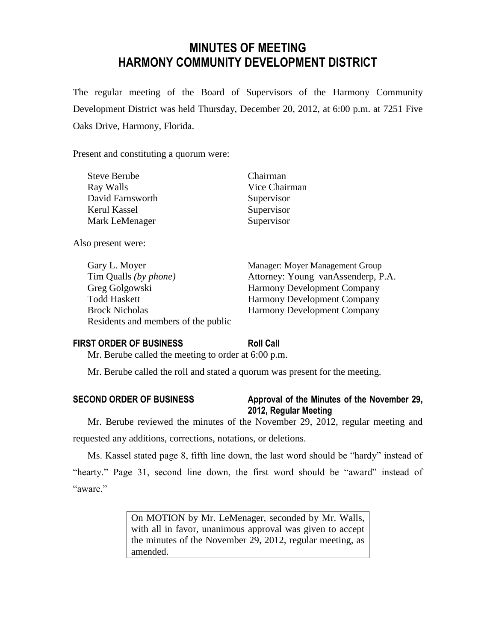# **MINUTES OF MEETING HARMONY COMMUNITY DEVELOPMENT DISTRICT**

The regular meeting of the Board of Supervisors of the Harmony Community Development District was held Thursday, December 20, 2012, at 6:00 p.m. at 7251 Five Oaks Drive, Harmony, Florida.

Present and constituting a quorum were:

| <b>Steve Berube</b> | Chairman      |
|---------------------|---------------|
| Ray Walls           | Vice Chairman |
| David Farnsworth    | Supervisor    |
| Kerul Kassel        | Supervisor    |
| Mark LeMenager      | Supervisor    |

Also present were:

Gary L. Moyer Manager: Moyer Management Group Tim Qualls *(by phone)* Attorney: Young vanAssenderp, P.A. Greg Golgowski Harmony Development Company Todd Haskett Harmony Development Company Brock Nicholas Harmony Development Company Residents and members of the public

## **FIRST ORDER OF BUSINESS Roll Call**

Mr. Berube called the meeting to order at 6:00 p.m.

Mr. Berube called the roll and stated a quorum was present for the meeting.

## **SECOND ORDER OF BUSINESS Approval of the Minutes of the November 29, 2012, Regular Meeting**

Mr. Berube reviewed the minutes of the November 29, 2012, regular meeting and requested any additions, corrections, notations, or deletions.

Ms. Kassel stated page 8, fifth line down, the last word should be "hardy" instead of "hearty." Page 31, second line down, the first word should be "award" instead of "aware."

> On MOTION by Mr. LeMenager, seconded by Mr. Walls, with all in favor, unanimous approval was given to accept the minutes of the November 29, 2012, regular meeting, as amended.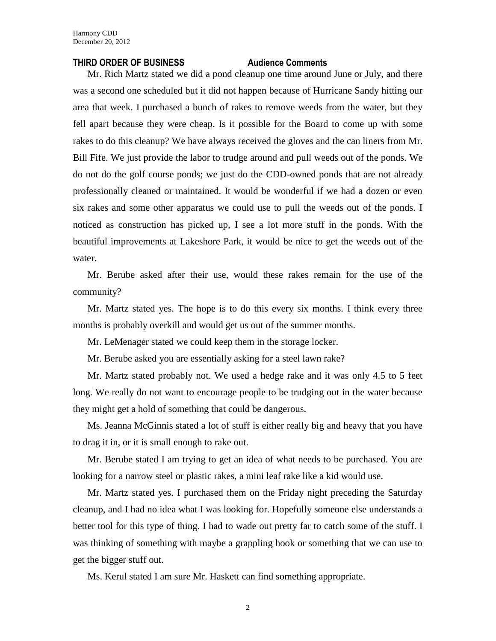#### **THIRD ORDER OF BUSINESS Audience Comments**

Mr. Rich Martz stated we did a pond cleanup one time around June or July, and there was a second one scheduled but it did not happen because of Hurricane Sandy hitting our area that week. I purchased a bunch of rakes to remove weeds from the water, but they fell apart because they were cheap. Is it possible for the Board to come up with some rakes to do this cleanup? We have always received the gloves and the can liners from Mr. Bill Fife. We just provide the labor to trudge around and pull weeds out of the ponds. We do not do the golf course ponds; we just do the CDD-owned ponds that are not already professionally cleaned or maintained. It would be wonderful if we had a dozen or even six rakes and some other apparatus we could use to pull the weeds out of the ponds. I noticed as construction has picked up, I see a lot more stuff in the ponds. With the beautiful improvements at Lakeshore Park, it would be nice to get the weeds out of the water.

Mr. Berube asked after their use, would these rakes remain for the use of the community?

Mr. Martz stated yes. The hope is to do this every six months. I think every three months is probably overkill and would get us out of the summer months.

Mr. LeMenager stated we could keep them in the storage locker.

Mr. Berube asked you are essentially asking for a steel lawn rake?

Mr. Martz stated probably not. We used a hedge rake and it was only 4.5 to 5 feet long. We really do not want to encourage people to be trudging out in the water because they might get a hold of something that could be dangerous.

Ms. Jeanna McGinnis stated a lot of stuff is either really big and heavy that you have to drag it in, or it is small enough to rake out.

Mr. Berube stated I am trying to get an idea of what needs to be purchased. You are looking for a narrow steel or plastic rakes, a mini leaf rake like a kid would use.

Mr. Martz stated yes. I purchased them on the Friday night preceding the Saturday cleanup, and I had no idea what I was looking for. Hopefully someone else understands a better tool for this type of thing. I had to wade out pretty far to catch some of the stuff. I was thinking of something with maybe a grappling hook or something that we can use to get the bigger stuff out.

Ms. Kerul stated I am sure Mr. Haskett can find something appropriate.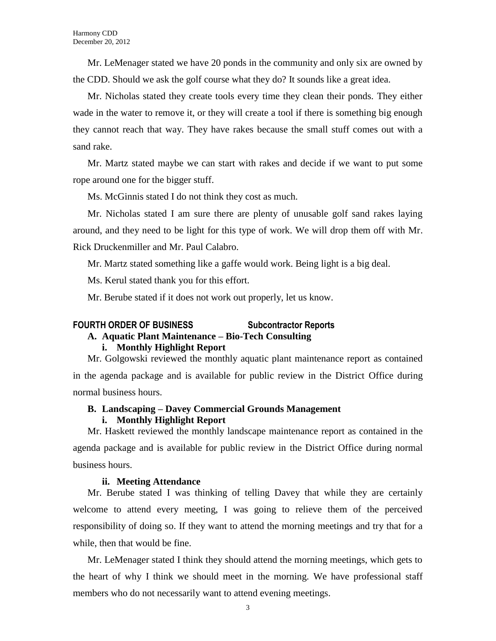Mr. LeMenager stated we have 20 ponds in the community and only six are owned by the CDD. Should we ask the golf course what they do? It sounds like a great idea.

Mr. Nicholas stated they create tools every time they clean their ponds. They either wade in the water to remove it, or they will create a tool if there is something big enough they cannot reach that way. They have rakes because the small stuff comes out with a sand rake.

Mr. Martz stated maybe we can start with rakes and decide if we want to put some rope around one for the bigger stuff.

Ms. McGinnis stated I do not think they cost as much.

Mr. Nicholas stated I am sure there are plenty of unusable golf sand rakes laying around, and they need to be light for this type of work. We will drop them off with Mr. Rick Druckenmiller and Mr. Paul Calabro.

Mr. Martz stated something like a gaffe would work. Being light is a big deal.

Ms. Kerul stated thank you for this effort.

Mr. Berube stated if it does not work out properly, let us know.

## **FOURTH ORDER OF BUSINESS Subcontractor Reports**

## **A. Aquatic Plant Maintenance – Bio-Tech Consulting**

## **i. Monthly Highlight Report**

Mr. Golgowski reviewed the monthly aquatic plant maintenance report as contained in the agenda package and is available for public review in the District Office during normal business hours.

## **B. Landscaping – Davey Commercial Grounds Management**

## **i. Monthly Highlight Report**

Mr. Haskett reviewed the monthly landscape maintenance report as contained in the agenda package and is available for public review in the District Office during normal business hours.

## **ii. Meeting Attendance**

Mr. Berube stated I was thinking of telling Davey that while they are certainly welcome to attend every meeting, I was going to relieve them of the perceived responsibility of doing so. If they want to attend the morning meetings and try that for a while, then that would be fine.

Mr. LeMenager stated I think they should attend the morning meetings, which gets to the heart of why I think we should meet in the morning. We have professional staff members who do not necessarily want to attend evening meetings.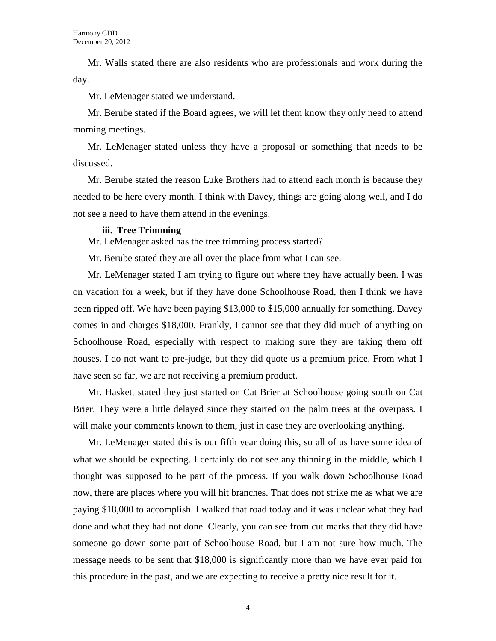Mr. Walls stated there are also residents who are professionals and work during the day.

Mr. LeMenager stated we understand.

Mr. Berube stated if the Board agrees, we will let them know they only need to attend morning meetings.

Mr. LeMenager stated unless they have a proposal or something that needs to be discussed.

Mr. Berube stated the reason Luke Brothers had to attend each month is because they needed to be here every month. I think with Davey, things are going along well, and I do not see a need to have them attend in the evenings.

#### **iii. Tree Trimming**

Mr. LeMenager asked has the tree trimming process started?

Mr. Berube stated they are all over the place from what I can see.

Mr. LeMenager stated I am trying to figure out where they have actually been. I was on vacation for a week, but if they have done Schoolhouse Road, then I think we have been ripped off. We have been paying \$13,000 to \$15,000 annually for something. Davey comes in and charges \$18,000. Frankly, I cannot see that they did much of anything on Schoolhouse Road, especially with respect to making sure they are taking them off houses. I do not want to pre-judge, but they did quote us a premium price. From what I have seen so far, we are not receiving a premium product.

Mr. Haskett stated they just started on Cat Brier at Schoolhouse going south on Cat Brier. They were a little delayed since they started on the palm trees at the overpass. I will make your comments known to them, just in case they are overlooking anything.

Mr. LeMenager stated this is our fifth year doing this, so all of us have some idea of what we should be expecting. I certainly do not see any thinning in the middle, which I thought was supposed to be part of the process. If you walk down Schoolhouse Road now, there are places where you will hit branches. That does not strike me as what we are paying \$18,000 to accomplish. I walked that road today and it was unclear what they had done and what they had not done. Clearly, you can see from cut marks that they did have someone go down some part of Schoolhouse Road, but I am not sure how much. The message needs to be sent that \$18,000 is significantly more than we have ever paid for this procedure in the past, and we are expecting to receive a pretty nice result for it.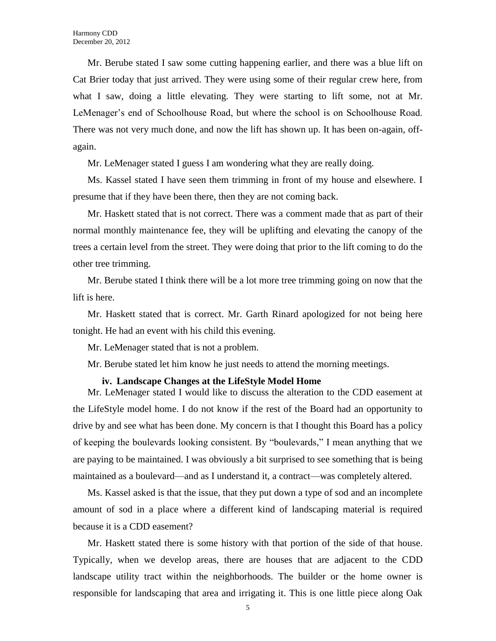Mr. Berube stated I saw some cutting happening earlier, and there was a blue lift on Cat Brier today that just arrived. They were using some of their regular crew here, from what I saw, doing a little elevating. They were starting to lift some, not at Mr. LeMenager's end of Schoolhouse Road, but where the school is on Schoolhouse Road. There was not very much done, and now the lift has shown up. It has been on-again, offagain.

Mr. LeMenager stated I guess I am wondering what they are really doing.

Ms. Kassel stated I have seen them trimming in front of my house and elsewhere. I presume that if they have been there, then they are not coming back.

Mr. Haskett stated that is not correct. There was a comment made that as part of their normal monthly maintenance fee, they will be uplifting and elevating the canopy of the trees a certain level from the street. They were doing that prior to the lift coming to do the other tree trimming.

Mr. Berube stated I think there will be a lot more tree trimming going on now that the lift is here.

Mr. Haskett stated that is correct. Mr. Garth Rinard apologized for not being here tonight. He had an event with his child this evening.

Mr. LeMenager stated that is not a problem.

Mr. Berube stated let him know he just needs to attend the morning meetings.

#### **iv. Landscape Changes at the LifeStyle Model Home**

Mr. LeMenager stated I would like to discuss the alteration to the CDD easement at the LifeStyle model home. I do not know if the rest of the Board had an opportunity to drive by and see what has been done. My concern is that I thought this Board has a policy of keeping the boulevards looking consistent. By "boulevards," I mean anything that we are paying to be maintained. I was obviously a bit surprised to see something that is being maintained as a boulevard—and as I understand it, a contract—was completely altered.

Ms. Kassel asked is that the issue, that they put down a type of sod and an incomplete amount of sod in a place where a different kind of landscaping material is required because it is a CDD easement?

Mr. Haskett stated there is some history with that portion of the side of that house. Typically, when we develop areas, there are houses that are adjacent to the CDD landscape utility tract within the neighborhoods. The builder or the home owner is responsible for landscaping that area and irrigating it. This is one little piece along Oak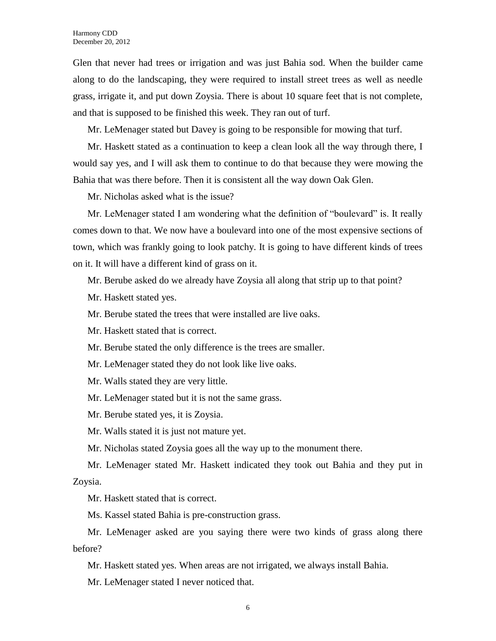Glen that never had trees or irrigation and was just Bahia sod. When the builder came along to do the landscaping, they were required to install street trees as well as needle grass, irrigate it, and put down Zoysia. There is about 10 square feet that is not complete, and that is supposed to be finished this week. They ran out of turf.

Mr. LeMenager stated but Davey is going to be responsible for mowing that turf.

Mr. Haskett stated as a continuation to keep a clean look all the way through there, I would say yes, and I will ask them to continue to do that because they were mowing the Bahia that was there before. Then it is consistent all the way down Oak Glen.

Mr. Nicholas asked what is the issue?

Mr. LeMenager stated I am wondering what the definition of "boulevard" is. It really comes down to that. We now have a boulevard into one of the most expensive sections of town, which was frankly going to look patchy. It is going to have different kinds of trees on it. It will have a different kind of grass on it.

Mr. Berube asked do we already have Zoysia all along that strip up to that point?

Mr. Haskett stated yes.

Mr. Berube stated the trees that were installed are live oaks.

Mr. Haskett stated that is correct.

Mr. Berube stated the only difference is the trees are smaller.

Mr. LeMenager stated they do not look like live oaks.

Mr. Walls stated they are very little.

Mr. LeMenager stated but it is not the same grass.

Mr. Berube stated yes, it is Zoysia.

Mr. Walls stated it is just not mature yet.

Mr. Nicholas stated Zoysia goes all the way up to the monument there.

Mr. LeMenager stated Mr. Haskett indicated they took out Bahia and they put in Zoysia.

Mr. Haskett stated that is correct.

Ms. Kassel stated Bahia is pre-construction grass.

Mr. LeMenager asked are you saying there were two kinds of grass along there before?

Mr. Haskett stated yes. When areas are not irrigated, we always install Bahia.

Mr. LeMenager stated I never noticed that.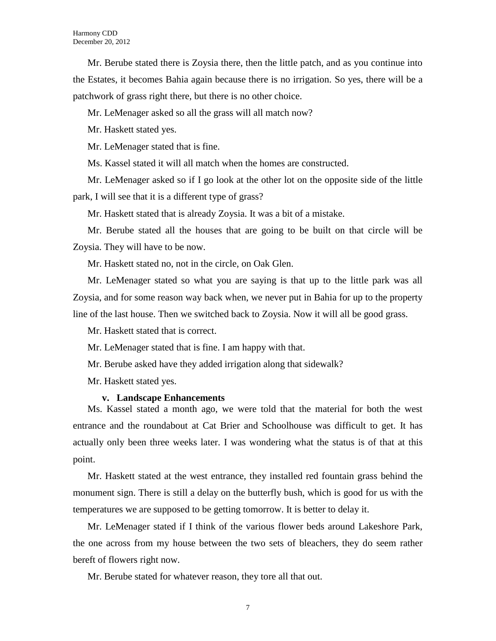Mr. Berube stated there is Zoysia there, then the little patch, and as you continue into the Estates, it becomes Bahia again because there is no irrigation. So yes, there will be a patchwork of grass right there, but there is no other choice.

Mr. LeMenager asked so all the grass will all match now?

Mr. Haskett stated yes.

Mr. LeMenager stated that is fine.

Ms. Kassel stated it will all match when the homes are constructed.

Mr. LeMenager asked so if I go look at the other lot on the opposite side of the little park, I will see that it is a different type of grass?

Mr. Haskett stated that is already Zoysia. It was a bit of a mistake.

Mr. Berube stated all the houses that are going to be built on that circle will be Zoysia. They will have to be now.

Mr. Haskett stated no, not in the circle, on Oak Glen.

Mr. LeMenager stated so what you are saying is that up to the little park was all Zoysia, and for some reason way back when, we never put in Bahia for up to the property line of the last house. Then we switched back to Zoysia. Now it will all be good grass.

Mr. Haskett stated that is correct.

Mr. LeMenager stated that is fine. I am happy with that.

Mr. Berube asked have they added irrigation along that sidewalk?

Mr. Haskett stated yes.

## **v. Landscape Enhancements**

Ms. Kassel stated a month ago, we were told that the material for both the west entrance and the roundabout at Cat Brier and Schoolhouse was difficult to get. It has actually only been three weeks later. I was wondering what the status is of that at this point.

Mr. Haskett stated at the west entrance, they installed red fountain grass behind the monument sign. There is still a delay on the butterfly bush, which is good for us with the temperatures we are supposed to be getting tomorrow. It is better to delay it.

Mr. LeMenager stated if I think of the various flower beds around Lakeshore Park, the one across from my house between the two sets of bleachers, they do seem rather bereft of flowers right now.

Mr. Berube stated for whatever reason, they tore all that out.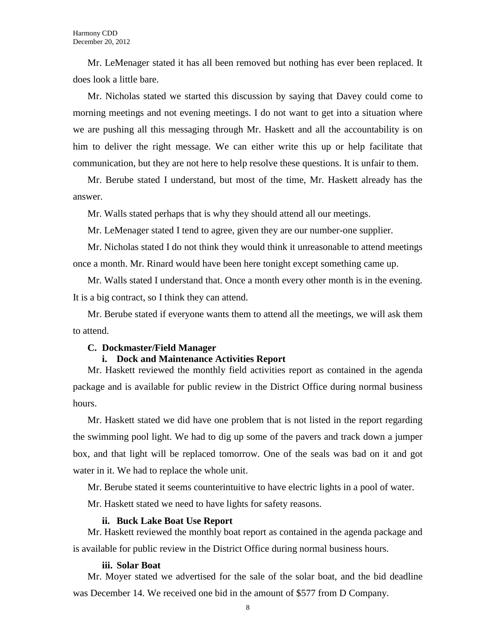Mr. LeMenager stated it has all been removed but nothing has ever been replaced. It does look a little bare.

Mr. Nicholas stated we started this discussion by saying that Davey could come to morning meetings and not evening meetings. I do not want to get into a situation where we are pushing all this messaging through Mr. Haskett and all the accountability is on him to deliver the right message. We can either write this up or help facilitate that communication, but they are not here to help resolve these questions. It is unfair to them.

Mr. Berube stated I understand, but most of the time, Mr. Haskett already has the answer.

Mr. Walls stated perhaps that is why they should attend all our meetings.

Mr. LeMenager stated I tend to agree, given they are our number-one supplier.

Mr. Nicholas stated I do not think they would think it unreasonable to attend meetings once a month. Mr. Rinard would have been here tonight except something came up.

Mr. Walls stated I understand that. Once a month every other month is in the evening. It is a big contract, so I think they can attend.

Mr. Berube stated if everyone wants them to attend all the meetings, we will ask them to attend.

#### **C. Dockmaster/Field Manager**

## **i. Dock and Maintenance Activities Report**

Mr. Haskett reviewed the monthly field activities report as contained in the agenda package and is available for public review in the District Office during normal business hours.

Mr. Haskett stated we did have one problem that is not listed in the report regarding the swimming pool light. We had to dig up some of the pavers and track down a jumper box, and that light will be replaced tomorrow. One of the seals was bad on it and got water in it. We had to replace the whole unit.

Mr. Berube stated it seems counterintuitive to have electric lights in a pool of water.

Mr. Haskett stated we need to have lights for safety reasons.

## **ii. Buck Lake Boat Use Report**

Mr. Haskett reviewed the monthly boat report as contained in the agenda package and is available for public review in the District Office during normal business hours.

## **iii. Solar Boat**

Mr. Moyer stated we advertised for the sale of the solar boat, and the bid deadline was December 14. We received one bid in the amount of \$577 from D Company.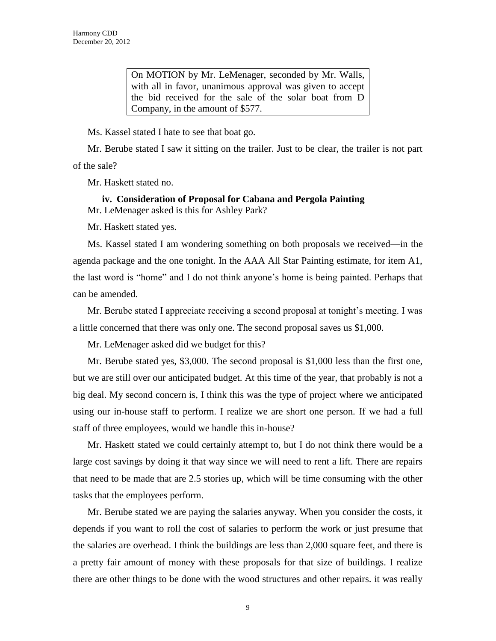On MOTION by Mr. LeMenager, seconded by Mr. Walls, with all in favor, unanimous approval was given to accept the bid received for the sale of the solar boat from D Company, in the amount of \$577.

Ms. Kassel stated I hate to see that boat go.

Mr. Berube stated I saw it sitting on the trailer. Just to be clear, the trailer is not part of the sale?

Mr. Haskett stated no.

## **iv. Consideration of Proposal for Cabana and Pergola Painting** Mr. LeMenager asked is this for Ashley Park?

Mr. Haskett stated yes.

Ms. Kassel stated I am wondering something on both proposals we received—in the agenda package and the one tonight. In the AAA All Star Painting estimate, for item A1, the last word is "home" and I do not think anyone's home is being painted. Perhaps that can be amended.

Mr. Berube stated I appreciate receiving a second proposal at tonight's meeting. I was a little concerned that there was only one. The second proposal saves us \$1,000.

Mr. LeMenager asked did we budget for this?

Mr. Berube stated yes, \$3,000. The second proposal is \$1,000 less than the first one, but we are still over our anticipated budget. At this time of the year, that probably is not a big deal. My second concern is, I think this was the type of project where we anticipated using our in-house staff to perform. I realize we are short one person. If we had a full staff of three employees, would we handle this in-house?

Mr. Haskett stated we could certainly attempt to, but I do not think there would be a large cost savings by doing it that way since we will need to rent a lift. There are repairs that need to be made that are 2.5 stories up, which will be time consuming with the other tasks that the employees perform.

Mr. Berube stated we are paying the salaries anyway. When you consider the costs, it depends if you want to roll the cost of salaries to perform the work or just presume that the salaries are overhead. I think the buildings are less than 2,000 square feet, and there is a pretty fair amount of money with these proposals for that size of buildings. I realize there are other things to be done with the wood structures and other repairs. it was really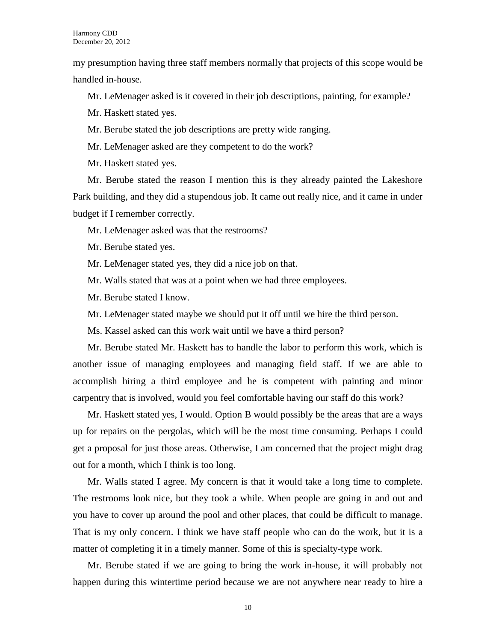my presumption having three staff members normally that projects of this scope would be handled in-house.

Mr. LeMenager asked is it covered in their job descriptions, painting, for example?

Mr. Haskett stated yes.

Mr. Berube stated the job descriptions are pretty wide ranging.

Mr. LeMenager asked are they competent to do the work?

Mr. Haskett stated yes.

Mr. Berube stated the reason I mention this is they already painted the Lakeshore Park building, and they did a stupendous job. It came out really nice, and it came in under budget if I remember correctly.

Mr. LeMenager asked was that the restrooms?

Mr. Berube stated yes.

Mr. LeMenager stated yes, they did a nice job on that.

Mr. Walls stated that was at a point when we had three employees.

Mr. Berube stated I know.

Mr. LeMenager stated maybe we should put it off until we hire the third person.

Ms. Kassel asked can this work wait until we have a third person?

Mr. Berube stated Mr. Haskett has to handle the labor to perform this work, which is another issue of managing employees and managing field staff. If we are able to accomplish hiring a third employee and he is competent with painting and minor carpentry that is involved, would you feel comfortable having our staff do this work?

Mr. Haskett stated yes, I would. Option B would possibly be the areas that are a ways up for repairs on the pergolas, which will be the most time consuming. Perhaps I could get a proposal for just those areas. Otherwise, I am concerned that the project might drag out for a month, which I think is too long.

Mr. Walls stated I agree. My concern is that it would take a long time to complete. The restrooms look nice, but they took a while. When people are going in and out and you have to cover up around the pool and other places, that could be difficult to manage. That is my only concern. I think we have staff people who can do the work, but it is a matter of completing it in a timely manner. Some of this is specialty-type work.

Mr. Berube stated if we are going to bring the work in-house, it will probably not happen during this wintertime period because we are not anywhere near ready to hire a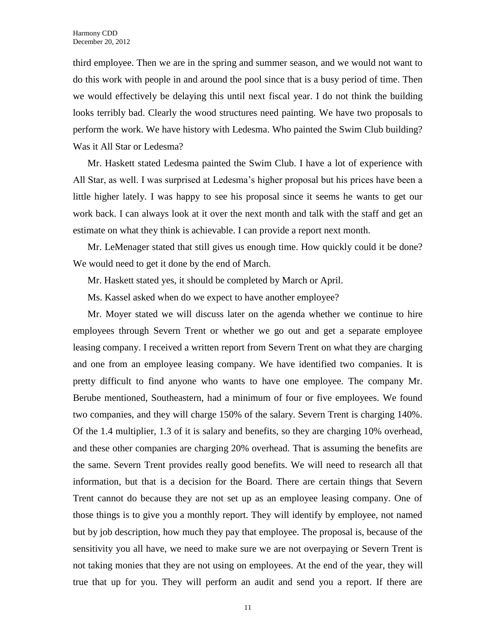third employee. Then we are in the spring and summer season, and we would not want to do this work with people in and around the pool since that is a busy period of time. Then we would effectively be delaying this until next fiscal year. I do not think the building looks terribly bad. Clearly the wood structures need painting. We have two proposals to perform the work. We have history with Ledesma. Who painted the Swim Club building? Was it All Star or Ledesma?

Mr. Haskett stated Ledesma painted the Swim Club. I have a lot of experience with All Star, as well. I was surprised at Ledesma's higher proposal but his prices have been a little higher lately. I was happy to see his proposal since it seems he wants to get our work back. I can always look at it over the next month and talk with the staff and get an estimate on what they think is achievable. I can provide a report next month.

Mr. LeMenager stated that still gives us enough time. How quickly could it be done? We would need to get it done by the end of March.

Mr. Haskett stated yes, it should be completed by March or April.

Ms. Kassel asked when do we expect to have another employee?

Mr. Moyer stated we will discuss later on the agenda whether we continue to hire employees through Severn Trent or whether we go out and get a separate employee leasing company. I received a written report from Severn Trent on what they are charging and one from an employee leasing company. We have identified two companies. It is pretty difficult to find anyone who wants to have one employee. The company Mr. Berube mentioned, Southeastern, had a minimum of four or five employees. We found two companies, and they will charge 150% of the salary. Severn Trent is charging 140%. Of the 1.4 multiplier, 1.3 of it is salary and benefits, so they are charging 10% overhead, and these other companies are charging 20% overhead. That is assuming the benefits are the same. Severn Trent provides really good benefits. We will need to research all that information, but that is a decision for the Board. There are certain things that Severn Trent cannot do because they are not set up as an employee leasing company. One of those things is to give you a monthly report. They will identify by employee, not named but by job description, how much they pay that employee. The proposal is, because of the sensitivity you all have, we need to make sure we are not overpaying or Severn Trent is not taking monies that they are not using on employees. At the end of the year, they will true that up for you. They will perform an audit and send you a report. If there are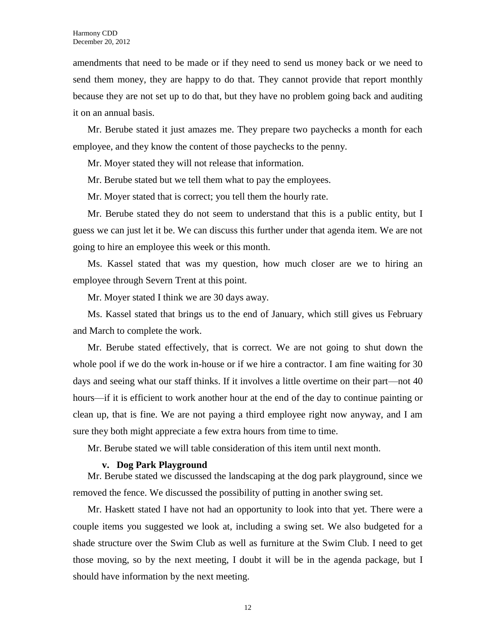amendments that need to be made or if they need to send us money back or we need to send them money, they are happy to do that. They cannot provide that report monthly because they are not set up to do that, but they have no problem going back and auditing it on an annual basis.

Mr. Berube stated it just amazes me. They prepare two paychecks a month for each employee, and they know the content of those paychecks to the penny.

Mr. Moyer stated they will not release that information.

Mr. Berube stated but we tell them what to pay the employees.

Mr. Moyer stated that is correct; you tell them the hourly rate.

Mr. Berube stated they do not seem to understand that this is a public entity, but I guess we can just let it be. We can discuss this further under that agenda item. We are not going to hire an employee this week or this month.

Ms. Kassel stated that was my question, how much closer are we to hiring an employee through Severn Trent at this point.

Mr. Moyer stated I think we are 30 days away.

Ms. Kassel stated that brings us to the end of January, which still gives us February and March to complete the work.

Mr. Berube stated effectively, that is correct. We are not going to shut down the whole pool if we do the work in-house or if we hire a contractor. I am fine waiting for 30 days and seeing what our staff thinks. If it involves a little overtime on their part—not 40 hours—if it is efficient to work another hour at the end of the day to continue painting or clean up, that is fine. We are not paying a third employee right now anyway, and I am sure they both might appreciate a few extra hours from time to time.

Mr. Berube stated we will table consideration of this item until next month.

#### **v. Dog Park Playground**

Mr. Berube stated we discussed the landscaping at the dog park playground, since we removed the fence. We discussed the possibility of putting in another swing set.

Mr. Haskett stated I have not had an opportunity to look into that yet. There were a couple items you suggested we look at, including a swing set. We also budgeted for a shade structure over the Swim Club as well as furniture at the Swim Club. I need to get those moving, so by the next meeting, I doubt it will be in the agenda package, but I should have information by the next meeting.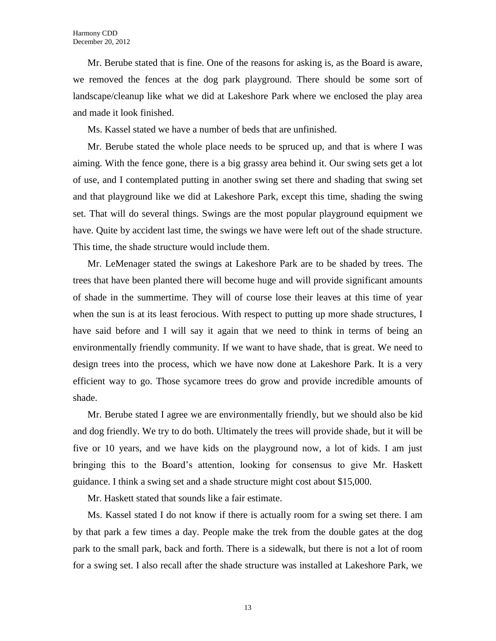Mr. Berube stated that is fine. One of the reasons for asking is, as the Board is aware, we removed the fences at the dog park playground. There should be some sort of landscape/cleanup like what we did at Lakeshore Park where we enclosed the play area and made it look finished.

Ms. Kassel stated we have a number of beds that are unfinished.

Mr. Berube stated the whole place needs to be spruced up, and that is where I was aiming. With the fence gone, there is a big grassy area behind it. Our swing sets get a lot of use, and I contemplated putting in another swing set there and shading that swing set and that playground like we did at Lakeshore Park, except this time, shading the swing set. That will do several things. Swings are the most popular playground equipment we have. Quite by accident last time, the swings we have were left out of the shade structure. This time, the shade structure would include them.

Mr. LeMenager stated the swings at Lakeshore Park are to be shaded by trees. The trees that have been planted there will become huge and will provide significant amounts of shade in the summertime. They will of course lose their leaves at this time of year when the sun is at its least ferocious. With respect to putting up more shade structures, I have said before and I will say it again that we need to think in terms of being an environmentally friendly community. If we want to have shade, that is great. We need to design trees into the process, which we have now done at Lakeshore Park. It is a very efficient way to go. Those sycamore trees do grow and provide incredible amounts of shade.

Mr. Berube stated I agree we are environmentally friendly, but we should also be kid and dog friendly. We try to do both. Ultimately the trees will provide shade, but it will be five or 10 years, and we have kids on the playground now, a lot of kids. I am just bringing this to the Board's attention, looking for consensus to give Mr. Haskett guidance. I think a swing set and a shade structure might cost about \$15,000.

Mr. Haskett stated that sounds like a fair estimate.

Ms. Kassel stated I do not know if there is actually room for a swing set there. I am by that park a few times a day. People make the trek from the double gates at the dog park to the small park, back and forth. There is a sidewalk, but there is not a lot of room for a swing set. I also recall after the shade structure was installed at Lakeshore Park, we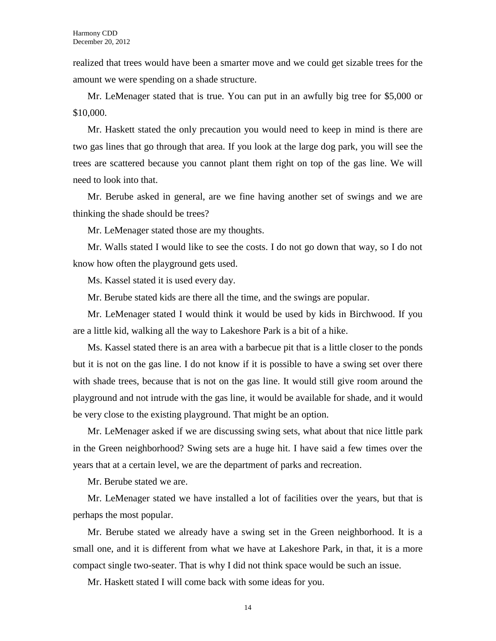realized that trees would have been a smarter move and we could get sizable trees for the amount we were spending on a shade structure.

Mr. LeMenager stated that is true. You can put in an awfully big tree for \$5,000 or \$10,000.

Mr. Haskett stated the only precaution you would need to keep in mind is there are two gas lines that go through that area. If you look at the large dog park, you will see the trees are scattered because you cannot plant them right on top of the gas line. We will need to look into that.

Mr. Berube asked in general, are we fine having another set of swings and we are thinking the shade should be trees?

Mr. LeMenager stated those are my thoughts.

Mr. Walls stated I would like to see the costs. I do not go down that way, so I do not know how often the playground gets used.

Ms. Kassel stated it is used every day.

Mr. Berube stated kids are there all the time, and the swings are popular.

Mr. LeMenager stated I would think it would be used by kids in Birchwood. If you are a little kid, walking all the way to Lakeshore Park is a bit of a hike.

Ms. Kassel stated there is an area with a barbecue pit that is a little closer to the ponds but it is not on the gas line. I do not know if it is possible to have a swing set over there with shade trees, because that is not on the gas line. It would still give room around the playground and not intrude with the gas line, it would be available for shade, and it would be very close to the existing playground. That might be an option.

Mr. LeMenager asked if we are discussing swing sets, what about that nice little park in the Green neighborhood? Swing sets are a huge hit. I have said a few times over the years that at a certain level, we are the department of parks and recreation.

Mr. Berube stated we are.

Mr. LeMenager stated we have installed a lot of facilities over the years, but that is perhaps the most popular.

Mr. Berube stated we already have a swing set in the Green neighborhood. It is a small one, and it is different from what we have at Lakeshore Park, in that, it is a more compact single two-seater. That is why I did not think space would be such an issue.

Mr. Haskett stated I will come back with some ideas for you.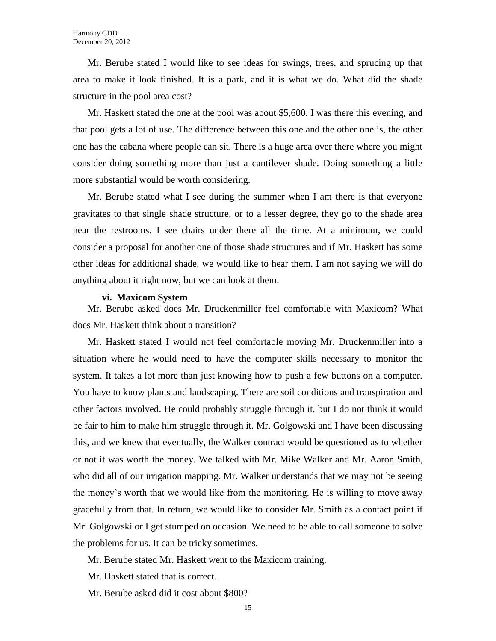Mr. Berube stated I would like to see ideas for swings, trees, and sprucing up that area to make it look finished. It is a park, and it is what we do. What did the shade structure in the pool area cost?

Mr. Haskett stated the one at the pool was about \$5,600. I was there this evening, and that pool gets a lot of use. The difference between this one and the other one is, the other one has the cabana where people can sit. There is a huge area over there where you might consider doing something more than just a cantilever shade. Doing something a little more substantial would be worth considering.

Mr. Berube stated what I see during the summer when I am there is that everyone gravitates to that single shade structure, or to a lesser degree, they go to the shade area near the restrooms. I see chairs under there all the time. At a minimum, we could consider a proposal for another one of those shade structures and if Mr. Haskett has some other ideas for additional shade, we would like to hear them. I am not saying we will do anything about it right now, but we can look at them.

#### **vi. Maxicom System**

Mr. Berube asked does Mr. Druckenmiller feel comfortable with Maxicom? What does Mr. Haskett think about a transition?

Mr. Haskett stated I would not feel comfortable moving Mr. Druckenmiller into a situation where he would need to have the computer skills necessary to monitor the system. It takes a lot more than just knowing how to push a few buttons on a computer. You have to know plants and landscaping. There are soil conditions and transpiration and other factors involved. He could probably struggle through it, but I do not think it would be fair to him to make him struggle through it. Mr. Golgowski and I have been discussing this, and we knew that eventually, the Walker contract would be questioned as to whether or not it was worth the money. We talked with Mr. Mike Walker and Mr. Aaron Smith, who did all of our irrigation mapping. Mr. Walker understands that we may not be seeing the money's worth that we would like from the monitoring. He is willing to move away gracefully from that. In return, we would like to consider Mr. Smith as a contact point if Mr. Golgowski or I get stumped on occasion. We need to be able to call someone to solve the problems for us. It can be tricky sometimes.

Mr. Berube stated Mr. Haskett went to the Maxicom training.

Mr. Haskett stated that is correct.

Mr. Berube asked did it cost about \$800?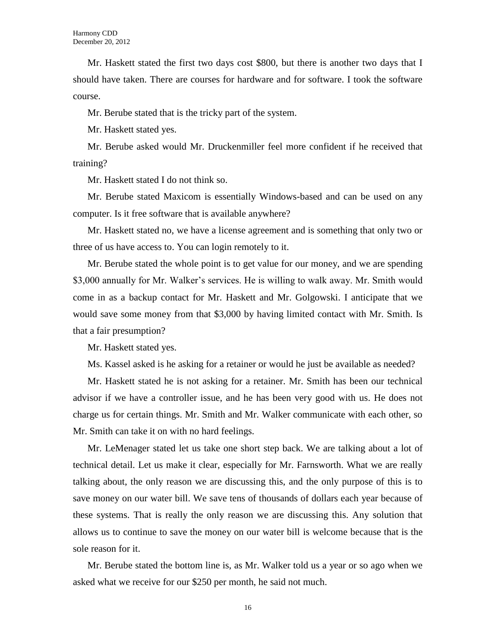Mr. Haskett stated the first two days cost \$800, but there is another two days that I should have taken. There are courses for hardware and for software. I took the software course.

Mr. Berube stated that is the tricky part of the system.

Mr. Haskett stated yes.

Mr. Berube asked would Mr. Druckenmiller feel more confident if he received that training?

Mr. Haskett stated I do not think so.

Mr. Berube stated Maxicom is essentially Windows-based and can be used on any computer. Is it free software that is available anywhere?

Mr. Haskett stated no, we have a license agreement and is something that only two or three of us have access to. You can login remotely to it.

Mr. Berube stated the whole point is to get value for our money, and we are spending \$3,000 annually for Mr. Walker's services. He is willing to walk away. Mr. Smith would come in as a backup contact for Mr. Haskett and Mr. Golgowski. I anticipate that we would save some money from that \$3,000 by having limited contact with Mr. Smith. Is that a fair presumption?

Mr. Haskett stated yes.

Ms. Kassel asked is he asking for a retainer or would he just be available as needed?

Mr. Haskett stated he is not asking for a retainer. Mr. Smith has been our technical advisor if we have a controller issue, and he has been very good with us. He does not charge us for certain things. Mr. Smith and Mr. Walker communicate with each other, so Mr. Smith can take it on with no hard feelings.

Mr. LeMenager stated let us take one short step back. We are talking about a lot of technical detail. Let us make it clear, especially for Mr. Farnsworth. What we are really talking about, the only reason we are discussing this, and the only purpose of this is to save money on our water bill. We save tens of thousands of dollars each year because of these systems. That is really the only reason we are discussing this. Any solution that allows us to continue to save the money on our water bill is welcome because that is the sole reason for it.

Mr. Berube stated the bottom line is, as Mr. Walker told us a year or so ago when we asked what we receive for our \$250 per month, he said not much.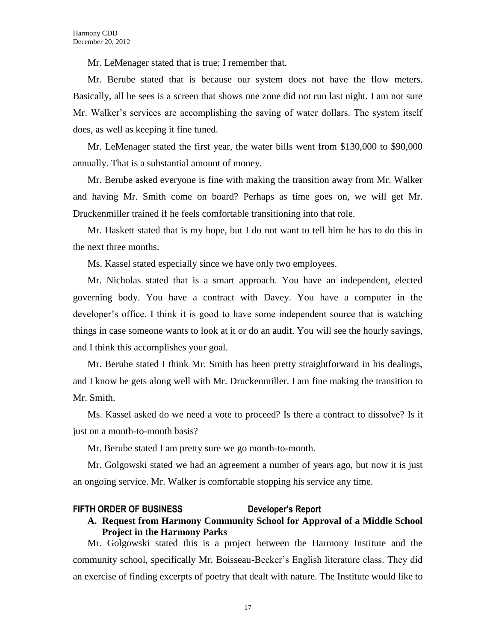Mr. LeMenager stated that is true; I remember that.

Mr. Berube stated that is because our system does not have the flow meters. Basically, all he sees is a screen that shows one zone did not run last night. I am not sure Mr. Walker's services are accomplishing the saving of water dollars. The system itself does, as well as keeping it fine tuned.

Mr. LeMenager stated the first year, the water bills went from \$130,000 to \$90,000 annually. That is a substantial amount of money.

Mr. Berube asked everyone is fine with making the transition away from Mr. Walker and having Mr. Smith come on board? Perhaps as time goes on, we will get Mr. Druckenmiller trained if he feels comfortable transitioning into that role.

Mr. Haskett stated that is my hope, but I do not want to tell him he has to do this in the next three months.

Ms. Kassel stated especially since we have only two employees.

Mr. Nicholas stated that is a smart approach. You have an independent, elected governing body. You have a contract with Davey. You have a computer in the developer's office. I think it is good to have some independent source that is watching things in case someone wants to look at it or do an audit. You will see the hourly savings, and I think this accomplishes your goal.

Mr. Berube stated I think Mr. Smith has been pretty straightforward in his dealings, and I know he gets along well with Mr. Druckenmiller. I am fine making the transition to Mr. Smith.

Ms. Kassel asked do we need a vote to proceed? Is there a contract to dissolve? Is it just on a month-to-month basis?

Mr. Berube stated I am pretty sure we go month-to-month.

Mr. Golgowski stated we had an agreement a number of years ago, but now it is just an ongoing service. Mr. Walker is comfortable stopping his service any time.

#### **FIFTH ORDER OF BUSINESS Developer's Report**

## **A. Request from Harmony Community School for Approval of a Middle School Project in the Harmony Parks**

Mr. Golgowski stated this is a project between the Harmony Institute and the community school, specifically Mr. Boisseau-Becker's English literature class. They did an exercise of finding excerpts of poetry that dealt with nature. The Institute would like to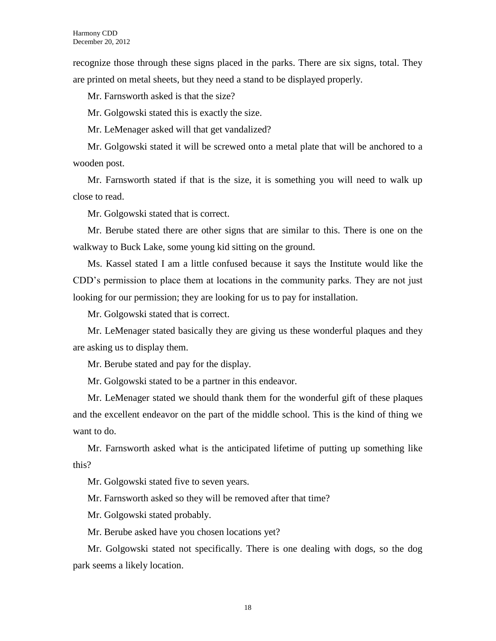recognize those through these signs placed in the parks. There are six signs, total. They are printed on metal sheets, but they need a stand to be displayed properly.

Mr. Farnsworth asked is that the size?

Mr. Golgowski stated this is exactly the size.

Mr. LeMenager asked will that get vandalized?

Mr. Golgowski stated it will be screwed onto a metal plate that will be anchored to a wooden post.

Mr. Farnsworth stated if that is the size, it is something you will need to walk up close to read.

Mr. Golgowski stated that is correct.

Mr. Berube stated there are other signs that are similar to this. There is one on the walkway to Buck Lake, some young kid sitting on the ground.

Ms. Kassel stated I am a little confused because it says the Institute would like the CDD's permission to place them at locations in the community parks. They are not just looking for our permission; they are looking for us to pay for installation.

Mr. Golgowski stated that is correct.

Mr. LeMenager stated basically they are giving us these wonderful plaques and they are asking us to display them.

Mr. Berube stated and pay for the display.

Mr. Golgowski stated to be a partner in this endeavor.

Mr. LeMenager stated we should thank them for the wonderful gift of these plaques and the excellent endeavor on the part of the middle school. This is the kind of thing we want to do.

Mr. Farnsworth asked what is the anticipated lifetime of putting up something like this?

Mr. Golgowski stated five to seven years.

Mr. Farnsworth asked so they will be removed after that time?

Mr. Golgowski stated probably.

Mr. Berube asked have you chosen locations yet?

Mr. Golgowski stated not specifically. There is one dealing with dogs, so the dog park seems a likely location.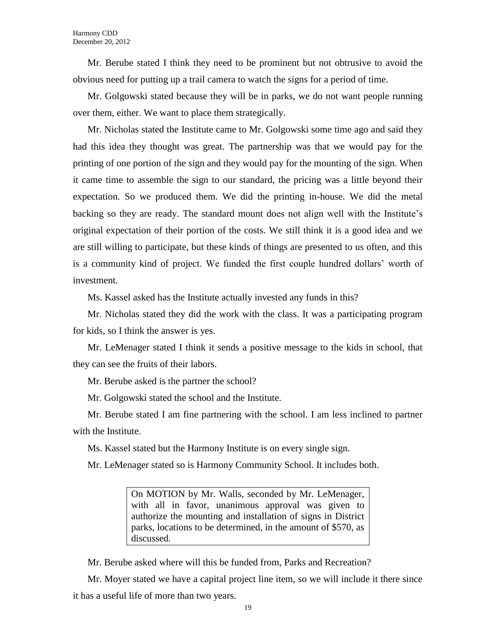Mr. Berube stated I think they need to be prominent but not obtrusive to avoid the obvious need for putting up a trail camera to watch the signs for a period of time.

Mr. Golgowski stated because they will be in parks, we do not want people running over them, either. We want to place them strategically.

Mr. Nicholas stated the Institute came to Mr. Golgowski some time ago and said they had this idea they thought was great. The partnership was that we would pay for the printing of one portion of the sign and they would pay for the mounting of the sign. When it came time to assemble the sign to our standard, the pricing was a little beyond their expectation. So we produced them. We did the printing in-house. We did the metal backing so they are ready. The standard mount does not align well with the Institute's original expectation of their portion of the costs. We still think it is a good idea and we are still willing to participate, but these kinds of things are presented to us often, and this is a community kind of project. We funded the first couple hundred dollars' worth of investment.

Ms. Kassel asked has the Institute actually invested any funds in this?

Mr. Nicholas stated they did the work with the class. It was a participating program for kids, so I think the answer is yes.

Mr. LeMenager stated I think it sends a positive message to the kids in school, that they can see the fruits of their labors.

Mr. Berube asked is the partner the school?

Mr. Golgowski stated the school and the Institute.

Mr. Berube stated I am fine partnering with the school. I am less inclined to partner with the Institute.

Ms. Kassel stated but the Harmony Institute is on every single sign.

Mr. LeMenager stated so is Harmony Community School. It includes both.

On MOTION by Mr. Walls, seconded by Mr. LeMenager, with all in favor, unanimous approval was given to authorize the mounting and installation of signs in District parks, locations to be determined, in the amount of \$570, as discussed.

Mr. Berube asked where will this be funded from, Parks and Recreation?

Mr. Moyer stated we have a capital project line item, so we will include it there since it has a useful life of more than two years.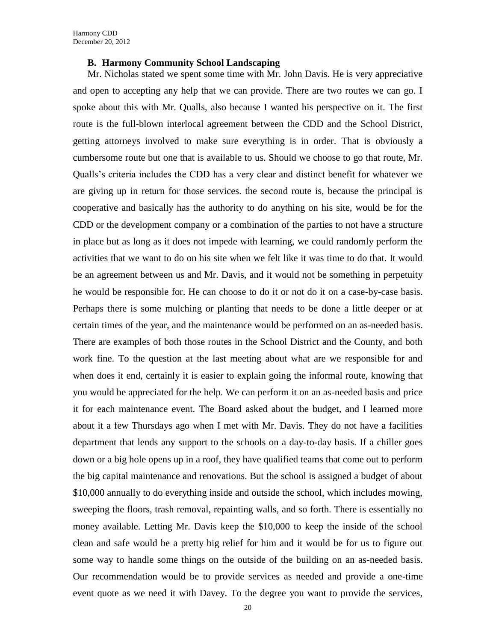### **B. Harmony Community School Landscaping**

Mr. Nicholas stated we spent some time with Mr. John Davis. He is very appreciative and open to accepting any help that we can provide. There are two routes we can go. I spoke about this with Mr. Qualls, also because I wanted his perspective on it. The first route is the full-blown interlocal agreement between the CDD and the School District, getting attorneys involved to make sure everything is in order. That is obviously a cumbersome route but one that is available to us. Should we choose to go that route, Mr. Qualls's criteria includes the CDD has a very clear and distinct benefit for whatever we are giving up in return for those services. the second route is, because the principal is cooperative and basically has the authority to do anything on his site, would be for the CDD or the development company or a combination of the parties to not have a structure in place but as long as it does not impede with learning, we could randomly perform the activities that we want to do on his site when we felt like it was time to do that. It would be an agreement between us and Mr. Davis, and it would not be something in perpetuity he would be responsible for. He can choose to do it or not do it on a case-by-case basis. Perhaps there is some mulching or planting that needs to be done a little deeper or at certain times of the year, and the maintenance would be performed on an as-needed basis. There are examples of both those routes in the School District and the County, and both work fine. To the question at the last meeting about what are we responsible for and when does it end, certainly it is easier to explain going the informal route, knowing that you would be appreciated for the help. We can perform it on an as-needed basis and price it for each maintenance event. The Board asked about the budget, and I learned more about it a few Thursdays ago when I met with Mr. Davis. They do not have a facilities department that lends any support to the schools on a day-to-day basis. If a chiller goes down or a big hole opens up in a roof, they have qualified teams that come out to perform the big capital maintenance and renovations. But the school is assigned a budget of about \$10,000 annually to do everything inside and outside the school, which includes mowing, sweeping the floors, trash removal, repainting walls, and so forth. There is essentially no money available. Letting Mr. Davis keep the \$10,000 to keep the inside of the school clean and safe would be a pretty big relief for him and it would be for us to figure out some way to handle some things on the outside of the building on an as-needed basis. Our recommendation would be to provide services as needed and provide a one-time event quote as we need it with Davey. To the degree you want to provide the services,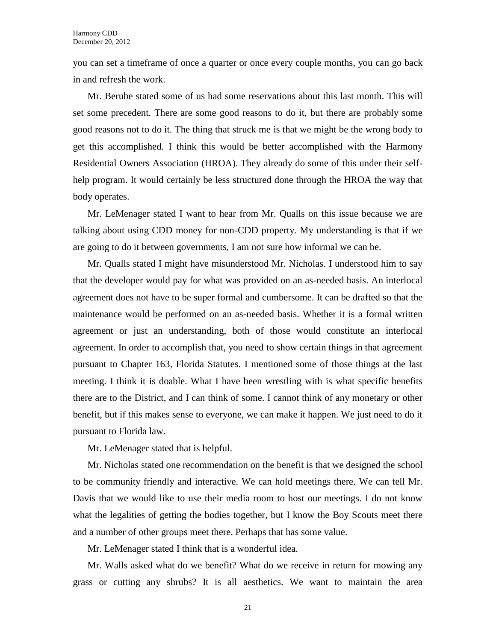you can set a timeframe of once a quarter or once every couple months, you can go back in and refresh the work.

Mr. Berube stated some of us had some reservations about this last month. This will set some precedent. There are some good reasons to do it, but there are probably some good reasons not to do it. The thing that struck me is that we might be the wrong body to get this accomplished. I think this would be better accomplished with the Harmony Residential Owners Association (HROA). They already do some of this under their selfhelp program. It would certainly be less structured done through the HROA the way that body operates.

Mr. LeMenager stated I want to hear from Mr. Qualls on this issue because we are talking about using CDD money for non-CDD property. My understanding is that if we are going to do it between governments, I am not sure how informal we can be.

Mr. Qualls stated I might have misunderstood Mr. Nicholas. I understood him to say that the developer would pay for what was provided on an as-needed basis. An interlocal agreement does not have to be super formal and cumbersome. It can be drafted so that the maintenance would be performed on an as-needed basis. Whether it is a formal written agreement or just an understanding, both of those would constitute an interlocal agreement. In order to accomplish that, you need to show certain things in that agreement pursuant to Chapter 163, Florida Statutes. I mentioned some of those things at the last meeting. I think it is doable. What I have been wrestling with is what specific benefits there are to the District, and I can think of some. I cannot think of any monetary or other benefit, but if this makes sense to everyone, we can make it happen. We just need to do it pursuant to Florida law.

Mr. LeMenager stated that is helpful.

Mr. Nicholas stated one recommendation on the benefit is that we designed the school to be community friendly and interactive. We can hold meetings there. We can tell Mr. Davis that we would like to use their media room to host our meetings. I do not know what the legalities of getting the bodies together, but I know the Boy Scouts meet there and a number of other groups meet there. Perhaps that has some value.

Mr. LeMenager stated I think that is a wonderful idea.

Mr. Walls asked what do we benefit? What do we receive in return for mowing any grass or cutting any shrubs? It is all aesthetics. We want to maintain the area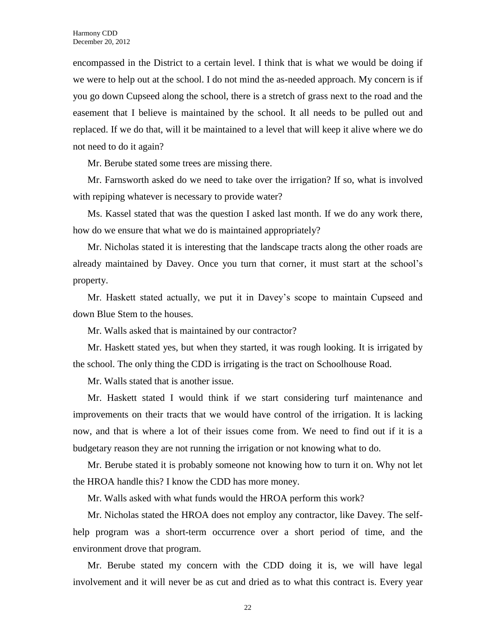encompassed in the District to a certain level. I think that is what we would be doing if we were to help out at the school. I do not mind the as-needed approach. My concern is if you go down Cupseed along the school, there is a stretch of grass next to the road and the easement that I believe is maintained by the school. It all needs to be pulled out and replaced. If we do that, will it be maintained to a level that will keep it alive where we do not need to do it again?

Mr. Berube stated some trees are missing there.

Mr. Farnsworth asked do we need to take over the irrigation? If so, what is involved with repiping whatever is necessary to provide water?

Ms. Kassel stated that was the question I asked last month. If we do any work there, how do we ensure that what we do is maintained appropriately?

Mr. Nicholas stated it is interesting that the landscape tracts along the other roads are already maintained by Davey. Once you turn that corner, it must start at the school's property.

Mr. Haskett stated actually, we put it in Davey's scope to maintain Cupseed and down Blue Stem to the houses.

Mr. Walls asked that is maintained by our contractor?

Mr. Haskett stated yes, but when they started, it was rough looking. It is irrigated by the school. The only thing the CDD is irrigating is the tract on Schoolhouse Road.

Mr. Walls stated that is another issue.

Mr. Haskett stated I would think if we start considering turf maintenance and improvements on their tracts that we would have control of the irrigation. It is lacking now, and that is where a lot of their issues come from. We need to find out if it is a budgetary reason they are not running the irrigation or not knowing what to do.

Mr. Berube stated it is probably someone not knowing how to turn it on. Why not let the HROA handle this? I know the CDD has more money.

Mr. Walls asked with what funds would the HROA perform this work?

Mr. Nicholas stated the HROA does not employ any contractor, like Davey. The selfhelp program was a short-term occurrence over a short period of time, and the environment drove that program.

Mr. Berube stated my concern with the CDD doing it is, we will have legal involvement and it will never be as cut and dried as to what this contract is. Every year

22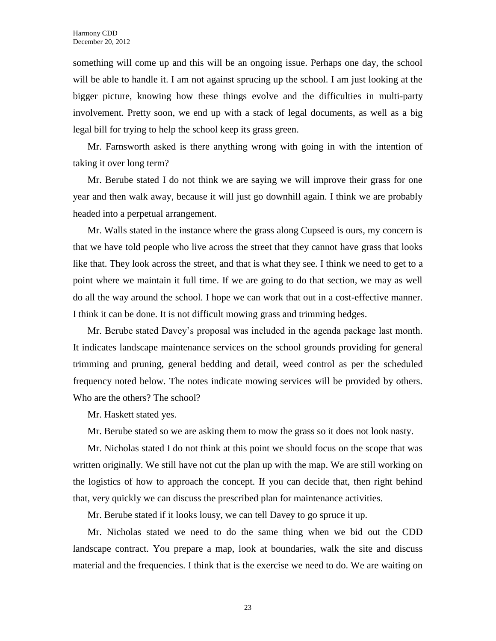something will come up and this will be an ongoing issue. Perhaps one day, the school will be able to handle it. I am not against sprucing up the school. I am just looking at the bigger picture, knowing how these things evolve and the difficulties in multi-party involvement. Pretty soon, we end up with a stack of legal documents, as well as a big legal bill for trying to help the school keep its grass green.

Mr. Farnsworth asked is there anything wrong with going in with the intention of taking it over long term?

Mr. Berube stated I do not think we are saying we will improve their grass for one year and then walk away, because it will just go downhill again. I think we are probably headed into a perpetual arrangement.

Mr. Walls stated in the instance where the grass along Cupseed is ours, my concern is that we have told people who live across the street that they cannot have grass that looks like that. They look across the street, and that is what they see. I think we need to get to a point where we maintain it full time. If we are going to do that section, we may as well do all the way around the school. I hope we can work that out in a cost-effective manner. I think it can be done. It is not difficult mowing grass and trimming hedges.

Mr. Berube stated Davey's proposal was included in the agenda package last month. It indicates landscape maintenance services on the school grounds providing for general trimming and pruning, general bedding and detail, weed control as per the scheduled frequency noted below. The notes indicate mowing services will be provided by others. Who are the others? The school?

Mr. Haskett stated yes.

Mr. Berube stated so we are asking them to mow the grass so it does not look nasty.

Mr. Nicholas stated I do not think at this point we should focus on the scope that was written originally. We still have not cut the plan up with the map. We are still working on the logistics of how to approach the concept. If you can decide that, then right behind that, very quickly we can discuss the prescribed plan for maintenance activities.

Mr. Berube stated if it looks lousy, we can tell Davey to go spruce it up.

Mr. Nicholas stated we need to do the same thing when we bid out the CDD landscape contract. You prepare a map, look at boundaries, walk the site and discuss material and the frequencies. I think that is the exercise we need to do. We are waiting on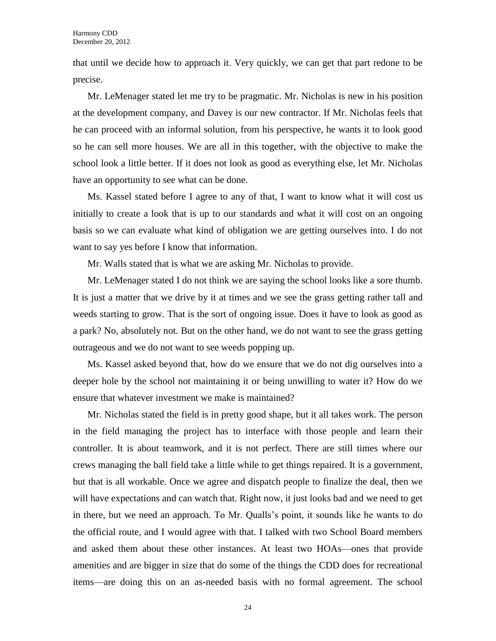that until we decide how to approach it. Very quickly, we can get that part redone to be precise.

Mr. LeMenager stated let me try to be pragmatic. Mr. Nicholas is new in his position at the development company, and Davey is our new contractor. If Mr. Nicholas feels that he can proceed with an informal solution, from his perspective, he wants it to look good so he can sell more houses. We are all in this together, with the objective to make the school look a little better. If it does not look as good as everything else, let Mr. Nicholas have an opportunity to see what can be done.

Ms. Kassel stated before I agree to any of that, I want to know what it will cost us initially to create a look that is up to our standards and what it will cost on an ongoing basis so we can evaluate what kind of obligation we are getting ourselves into. I do not want to say yes before I know that information.

Mr. Walls stated that is what we are asking Mr. Nicholas to provide.

Mr. LeMenager stated I do not think we are saying the school looks like a sore thumb. It is just a matter that we drive by it at times and we see the grass getting rather tall and weeds starting to grow. That is the sort of ongoing issue. Does it have to look as good as a park? No, absolutely not. But on the other hand, we do not want to see the grass getting outrageous and we do not want to see weeds popping up.

Ms. Kassel asked beyond that, how do we ensure that we do not dig ourselves into a deeper hole by the school not maintaining it or being unwilling to water it? How do we ensure that whatever investment we make is maintained?

Mr. Nicholas stated the field is in pretty good shape, but it all takes work. The person in the field managing the project has to interface with those people and learn their controller. It is about teamwork, and it is not perfect. There are still times where our crews managing the ball field take a little while to get things repaired. It is a government, but that is all workable. Once we agree and dispatch people to finalize the deal, then we will have expectations and can watch that. Right now, it just looks bad and we need to get in there, but we need an approach. To Mr. Qualls's point, it sounds like he wants to do the official route, and I would agree with that. I talked with two School Board members and asked them about these other instances. At least two HOAs—ones that provide amenities and are bigger in size that do some of the things the CDD does for recreational items—are doing this on an as-needed basis with no formal agreement. The school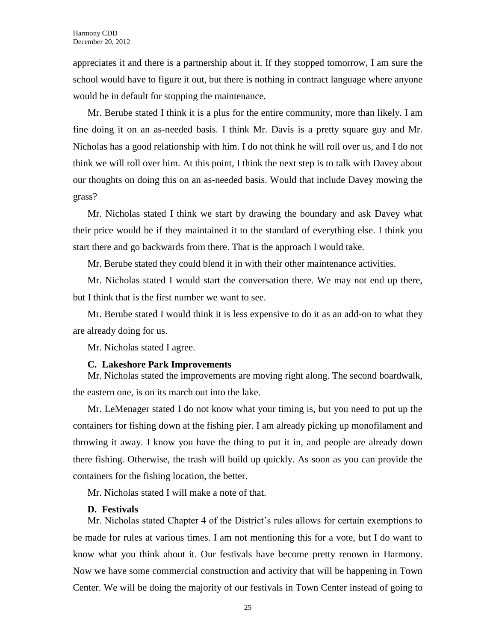appreciates it and there is a partnership about it. If they stopped tomorrow, I am sure the school would have to figure it out, but there is nothing in contract language where anyone would be in default for stopping the maintenance.

Mr. Berube stated I think it is a plus for the entire community, more than likely. I am fine doing it on an as-needed basis. I think Mr. Davis is a pretty square guy and Mr. Nicholas has a good relationship with him. I do not think he will roll over us, and I do not think we will roll over him. At this point, I think the next step is to talk with Davey about our thoughts on doing this on an as-needed basis. Would that include Davey mowing the grass?

Mr. Nicholas stated I think we start by drawing the boundary and ask Davey what their price would be if they maintained it to the standard of everything else. I think you start there and go backwards from there. That is the approach I would take.

Mr. Berube stated they could blend it in with their other maintenance activities.

Mr. Nicholas stated I would start the conversation there. We may not end up there, but I think that is the first number we want to see.

Mr. Berube stated I would think it is less expensive to do it as an add-on to what they are already doing for us.

Mr. Nicholas stated I agree.

#### **C. Lakeshore Park Improvements**

Mr. Nicholas stated the improvements are moving right along. The second boardwalk, the eastern one, is on its march out into the lake.

Mr. LeMenager stated I do not know what your timing is, but you need to put up the containers for fishing down at the fishing pier. I am already picking up monofilament and throwing it away. I know you have the thing to put it in, and people are already down there fishing. Otherwise, the trash will build up quickly. As soon as you can provide the containers for the fishing location, the better.

Mr. Nicholas stated I will make a note of that.

## **D. Festivals**

Mr. Nicholas stated Chapter 4 of the District's rules allows for certain exemptions to be made for rules at various times. I am not mentioning this for a vote, but I do want to know what you think about it. Our festivals have become pretty renown in Harmony. Now we have some commercial construction and activity that will be happening in Town Center. We will be doing the majority of our festivals in Town Center instead of going to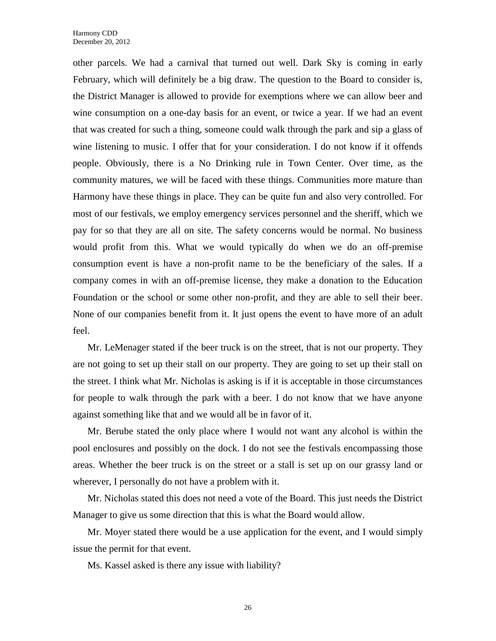other parcels. We had a carnival that turned out well. Dark Sky is coming in early February, which will definitely be a big draw. The question to the Board to consider is, the District Manager is allowed to provide for exemptions where we can allow beer and wine consumption on a one-day basis for an event, or twice a year. If we had an event that was created for such a thing, someone could walk through the park and sip a glass of wine listening to music. I offer that for your consideration. I do not know if it offends people. Obviously, there is a No Drinking rule in Town Center. Over time, as the community matures, we will be faced with these things. Communities more mature than Harmony have these things in place. They can be quite fun and also very controlled. For most of our festivals, we employ emergency services personnel and the sheriff, which we pay for so that they are all on site. The safety concerns would be normal. No business would profit from this. What we would typically do when we do an off-premise consumption event is have a non-profit name to be the beneficiary of the sales. If a company comes in with an off-premise license, they make a donation to the Education Foundation or the school or some other non-profit, and they are able to sell their beer. None of our companies benefit from it. It just opens the event to have more of an adult feel.

Mr. LeMenager stated if the beer truck is on the street, that is not our property. They are not going to set up their stall on our property. They are going to set up their stall on the street. I think what Mr. Nicholas is asking is if it is acceptable in those circumstances for people to walk through the park with a beer. I do not know that we have anyone against something like that and we would all be in favor of it.

Mr. Berube stated the only place where I would not want any alcohol is within the pool enclosures and possibly on the dock. I do not see the festivals encompassing those areas. Whether the beer truck is on the street or a stall is set up on our grassy land or wherever, I personally do not have a problem with it.

Mr. Nicholas stated this does not need a vote of the Board. This just needs the District Manager to give us some direction that this is what the Board would allow.

Mr. Moyer stated there would be a use application for the event, and I would simply issue the permit for that event.

Ms. Kassel asked is there any issue with liability?

26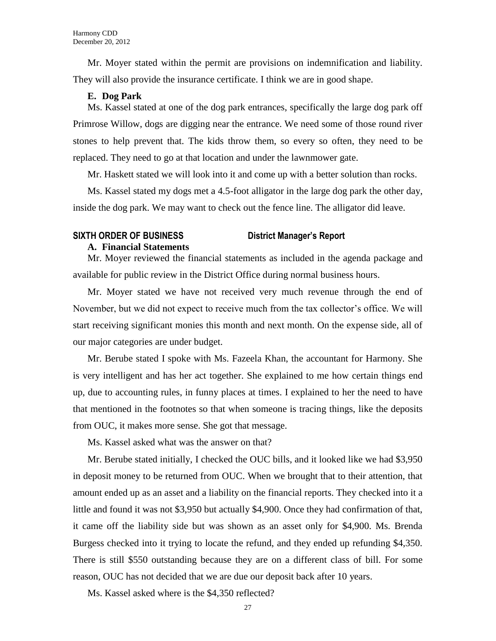Mr. Moyer stated within the permit are provisions on indemnification and liability. They will also provide the insurance certificate. I think we are in good shape.

## **E. Dog Park**

Ms. Kassel stated at one of the dog park entrances, specifically the large dog park off Primrose Willow, dogs are digging near the entrance. We need some of those round river stones to help prevent that. The kids throw them, so every so often, they need to be replaced. They need to go at that location and under the lawnmower gate.

Mr. Haskett stated we will look into it and come up with a better solution than rocks.

Ms. Kassel stated my dogs met a 4.5-foot alligator in the large dog park the other day, inside the dog park. We may want to check out the fence line. The alligator did leave.

## **SIXTH ORDER OF BUSINESS District Manager's Report**

## **A. Financial Statements**

Mr. Moyer reviewed the financial statements as included in the agenda package and available for public review in the District Office during normal business hours.

Mr. Moyer stated we have not received very much revenue through the end of November, but we did not expect to receive much from the tax collector's office. We will start receiving significant monies this month and next month. On the expense side, all of our major categories are under budget.

Mr. Berube stated I spoke with Ms. Fazeela Khan, the accountant for Harmony. She is very intelligent and has her act together. She explained to me how certain things end up, due to accounting rules, in funny places at times. I explained to her the need to have that mentioned in the footnotes so that when someone is tracing things, like the deposits from OUC, it makes more sense. She got that message.

Ms. Kassel asked what was the answer on that?

Mr. Berube stated initially, I checked the OUC bills, and it looked like we had \$3,950 in deposit money to be returned from OUC. When we brought that to their attention, that amount ended up as an asset and a liability on the financial reports. They checked into it a little and found it was not \$3,950 but actually \$4,900. Once they had confirmation of that, it came off the liability side but was shown as an asset only for \$4,900. Ms. Brenda Burgess checked into it trying to locate the refund, and they ended up refunding \$4,350. There is still \$550 outstanding because they are on a different class of bill. For some reason, OUC has not decided that we are due our deposit back after 10 years.

Ms. Kassel asked where is the \$4,350 reflected?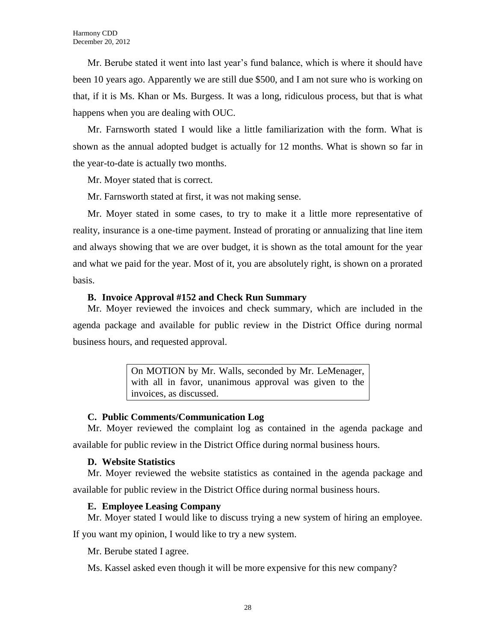Mr. Berube stated it went into last year's fund balance, which is where it should have been 10 years ago. Apparently we are still due \$500, and I am not sure who is working on that, if it is Ms. Khan or Ms. Burgess. It was a long, ridiculous process, but that is what happens when you are dealing with OUC.

Mr. Farnsworth stated I would like a little familiarization with the form. What is shown as the annual adopted budget is actually for 12 months. What is shown so far in the year-to-date is actually two months.

Mr. Moyer stated that is correct.

Mr. Farnsworth stated at first, it was not making sense.

Mr. Moyer stated in some cases, to try to make it a little more representative of reality, insurance is a one-time payment. Instead of prorating or annualizing that line item and always showing that we are over budget, it is shown as the total amount for the year and what we paid for the year. Most of it, you are absolutely right, is shown on a prorated basis.

## **B. Invoice Approval #152 and Check Run Summary**

Mr. Moyer reviewed the invoices and check summary, which are included in the agenda package and available for public review in the District Office during normal business hours, and requested approval.

> On MOTION by Mr. Walls, seconded by Mr. LeMenager, with all in favor, unanimous approval was given to the invoices, as discussed.

## **C. Public Comments/Communication Log**

Mr. Moyer reviewed the complaint log as contained in the agenda package and available for public review in the District Office during normal business hours.

## **D. Website Statistics**

Mr. Moyer reviewed the website statistics as contained in the agenda package and available for public review in the District Office during normal business hours.

## **E. Employee Leasing Company**

Mr. Moyer stated I would like to discuss trying a new system of hiring an employee.

If you want my opinion, I would like to try a new system.

Mr. Berube stated I agree.

Ms. Kassel asked even though it will be more expensive for this new company?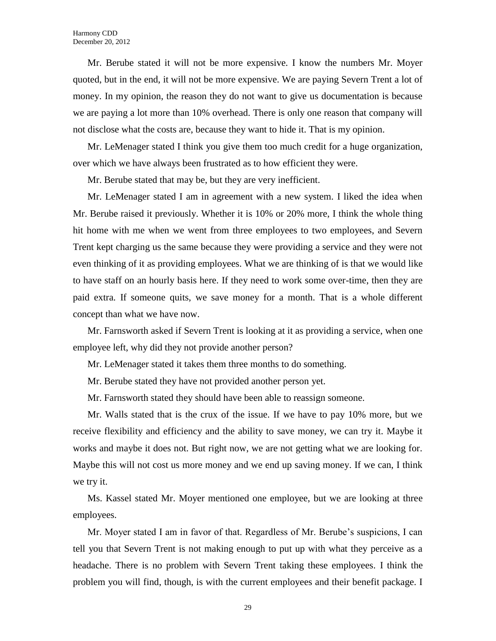Mr. Berube stated it will not be more expensive. I know the numbers Mr. Moyer quoted, but in the end, it will not be more expensive. We are paying Severn Trent a lot of money. In my opinion, the reason they do not want to give us documentation is because we are paying a lot more than 10% overhead. There is only one reason that company will not disclose what the costs are, because they want to hide it. That is my opinion.

Mr. LeMenager stated I think you give them too much credit for a huge organization, over which we have always been frustrated as to how efficient they were.

Mr. Berube stated that may be, but they are very inefficient.

Mr. LeMenager stated I am in agreement with a new system. I liked the idea when Mr. Berube raised it previously. Whether it is 10% or 20% more, I think the whole thing hit home with me when we went from three employees to two employees, and Severn Trent kept charging us the same because they were providing a service and they were not even thinking of it as providing employees. What we are thinking of is that we would like to have staff on an hourly basis here. If they need to work some over-time, then they are paid extra. If someone quits, we save money for a month. That is a whole different concept than what we have now.

Mr. Farnsworth asked if Severn Trent is looking at it as providing a service, when one employee left, why did they not provide another person?

Mr. LeMenager stated it takes them three months to do something.

Mr. Berube stated they have not provided another person yet.

Mr. Farnsworth stated they should have been able to reassign someone.

Mr. Walls stated that is the crux of the issue. If we have to pay 10% more, but we receive flexibility and efficiency and the ability to save money, we can try it. Maybe it works and maybe it does not. But right now, we are not getting what we are looking for. Maybe this will not cost us more money and we end up saving money. If we can, I think we try it.

Ms. Kassel stated Mr. Moyer mentioned one employee, but we are looking at three employees.

Mr. Moyer stated I am in favor of that. Regardless of Mr. Berube's suspicions, I can tell you that Severn Trent is not making enough to put up with what they perceive as a headache. There is no problem with Severn Trent taking these employees. I think the problem you will find, though, is with the current employees and their benefit package. I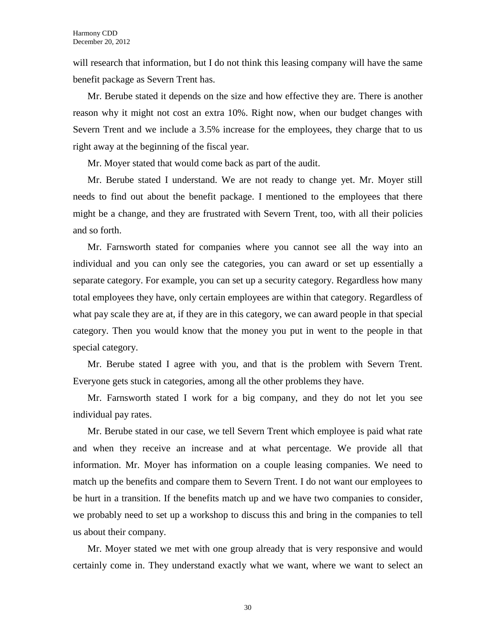will research that information, but I do not think this leasing company will have the same benefit package as Severn Trent has.

Mr. Berube stated it depends on the size and how effective they are. There is another reason why it might not cost an extra 10%. Right now, when our budget changes with Severn Trent and we include a 3.5% increase for the employees, they charge that to us right away at the beginning of the fiscal year.

Mr. Moyer stated that would come back as part of the audit.

Mr. Berube stated I understand. We are not ready to change yet. Mr. Moyer still needs to find out about the benefit package. I mentioned to the employees that there might be a change, and they are frustrated with Severn Trent, too, with all their policies and so forth.

Mr. Farnsworth stated for companies where you cannot see all the way into an individual and you can only see the categories, you can award or set up essentially a separate category. For example, you can set up a security category. Regardless how many total employees they have, only certain employees are within that category. Regardless of what pay scale they are at, if they are in this category, we can award people in that special category. Then you would know that the money you put in went to the people in that special category.

Mr. Berube stated I agree with you, and that is the problem with Severn Trent. Everyone gets stuck in categories, among all the other problems they have.

Mr. Farnsworth stated I work for a big company, and they do not let you see individual pay rates.

Mr. Berube stated in our case, we tell Severn Trent which employee is paid what rate and when they receive an increase and at what percentage. We provide all that information. Mr. Moyer has information on a couple leasing companies. We need to match up the benefits and compare them to Severn Trent. I do not want our employees to be hurt in a transition. If the benefits match up and we have two companies to consider, we probably need to set up a workshop to discuss this and bring in the companies to tell us about their company.

Mr. Moyer stated we met with one group already that is very responsive and would certainly come in. They understand exactly what we want, where we want to select an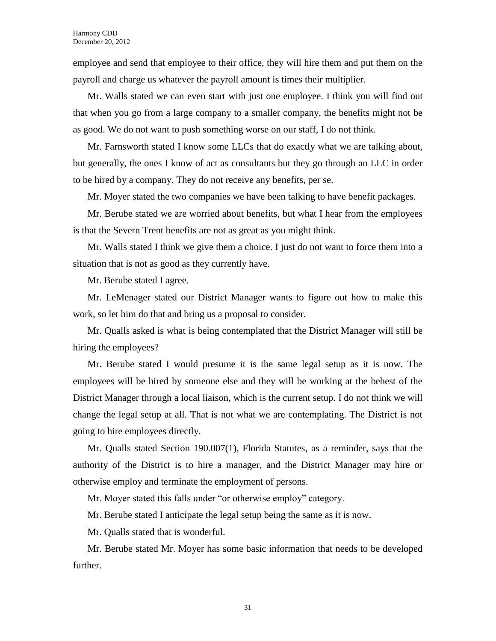employee and send that employee to their office, they will hire them and put them on the payroll and charge us whatever the payroll amount is times their multiplier.

Mr. Walls stated we can even start with just one employee. I think you will find out that when you go from a large company to a smaller company, the benefits might not be as good. We do not want to push something worse on our staff, I do not think.

Mr. Farnsworth stated I know some LLCs that do exactly what we are talking about, but generally, the ones I know of act as consultants but they go through an LLC in order to be hired by a company. They do not receive any benefits, per se.

Mr. Moyer stated the two companies we have been talking to have benefit packages.

Mr. Berube stated we are worried about benefits, but what I hear from the employees is that the Severn Trent benefits are not as great as you might think.

Mr. Walls stated I think we give them a choice. I just do not want to force them into a situation that is not as good as they currently have.

Mr. Berube stated I agree.

Mr. LeMenager stated our District Manager wants to figure out how to make this work, so let him do that and bring us a proposal to consider.

Mr. Qualls asked is what is being contemplated that the District Manager will still be hiring the employees?

Mr. Berube stated I would presume it is the same legal setup as it is now. The employees will be hired by someone else and they will be working at the behest of the District Manager through a local liaison, which is the current setup. I do not think we will change the legal setup at all. That is not what we are contemplating. The District is not going to hire employees directly.

Mr. Qualls stated Section 190.007(1), Florida Statutes, as a reminder, says that the authority of the District is to hire a manager, and the District Manager may hire or otherwise employ and terminate the employment of persons.

Mr. Moyer stated this falls under "or otherwise employ" category.

Mr. Berube stated I anticipate the legal setup being the same as it is now.

Mr. Qualls stated that is wonderful.

Mr. Berube stated Mr. Moyer has some basic information that needs to be developed further.

31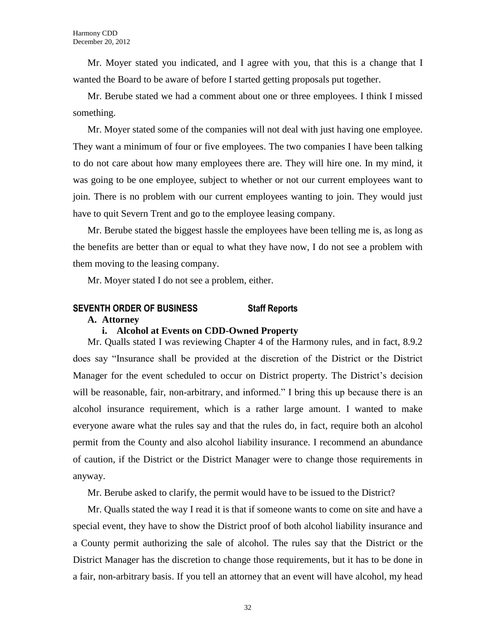Mr. Moyer stated you indicated, and I agree with you, that this is a change that I wanted the Board to be aware of before I started getting proposals put together.

Mr. Berube stated we had a comment about one or three employees. I think I missed something.

Mr. Moyer stated some of the companies will not deal with just having one employee. They want a minimum of four or five employees. The two companies I have been talking to do not care about how many employees there are. They will hire one. In my mind, it was going to be one employee, subject to whether or not our current employees want to join. There is no problem with our current employees wanting to join. They would just have to quit Severn Trent and go to the employee leasing company.

Mr. Berube stated the biggest hassle the employees have been telling me is, as long as the benefits are better than or equal to what they have now, I do not see a problem with them moving to the leasing company.

Mr. Moyer stated I do not see a problem, either.

## **SEVENTH ORDER OF BUSINESS Staff Reports**

## **A. Attorney**

## **i. Alcohol at Events on CDD-Owned Property**

Mr. Qualls stated I was reviewing Chapter 4 of the Harmony rules, and in fact, 8.9.2 does say "Insurance shall be provided at the discretion of the District or the District Manager for the event scheduled to occur on District property. The District's decision will be reasonable, fair, non-arbitrary, and informed." I bring this up because there is an alcohol insurance requirement, which is a rather large amount. I wanted to make everyone aware what the rules say and that the rules do, in fact, require both an alcohol permit from the County and also alcohol liability insurance. I recommend an abundance of caution, if the District or the District Manager were to change those requirements in anyway.

Mr. Berube asked to clarify, the permit would have to be issued to the District?

Mr. Qualls stated the way I read it is that if someone wants to come on site and have a special event, they have to show the District proof of both alcohol liability insurance and a County permit authorizing the sale of alcohol. The rules say that the District or the District Manager has the discretion to change those requirements, but it has to be done in a fair, non-arbitrary basis. If you tell an attorney that an event will have alcohol, my head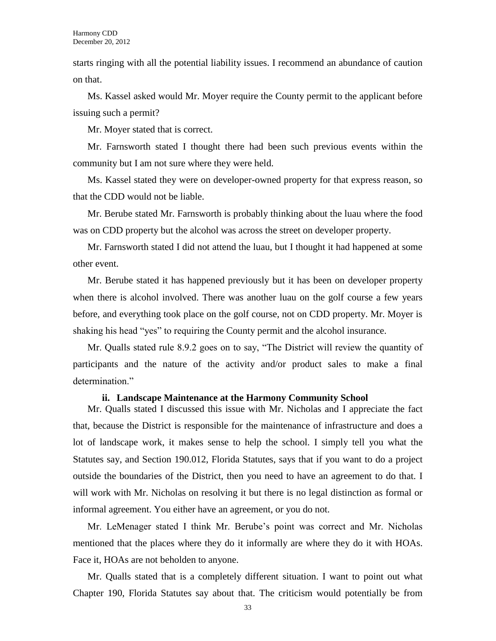starts ringing with all the potential liability issues. I recommend an abundance of caution on that.

Ms. Kassel asked would Mr. Moyer require the County permit to the applicant before issuing such a permit?

Mr. Moyer stated that is correct.

Mr. Farnsworth stated I thought there had been such previous events within the community but I am not sure where they were held.

Ms. Kassel stated they were on developer-owned property for that express reason, so that the CDD would not be liable.

Mr. Berube stated Mr. Farnsworth is probably thinking about the luau where the food was on CDD property but the alcohol was across the street on developer property.

Mr. Farnsworth stated I did not attend the luau, but I thought it had happened at some other event.

Mr. Berube stated it has happened previously but it has been on developer property when there is alcohol involved. There was another luau on the golf course a few years before, and everything took place on the golf course, not on CDD property. Mr. Moyer is shaking his head "yes" to requiring the County permit and the alcohol insurance.

Mr. Qualls stated rule 8.9.2 goes on to say, "The District will review the quantity of participants and the nature of the activity and/or product sales to make a final determination."

## **ii. Landscape Maintenance at the Harmony Community School**

Mr. Qualls stated I discussed this issue with Mr. Nicholas and I appreciate the fact that, because the District is responsible for the maintenance of infrastructure and does a lot of landscape work, it makes sense to help the school. I simply tell you what the Statutes say, and Section 190.012, Florida Statutes, says that if you want to do a project outside the boundaries of the District, then you need to have an agreement to do that. I will work with Mr. Nicholas on resolving it but there is no legal distinction as formal or informal agreement. You either have an agreement, or you do not.

Mr. LeMenager stated I think Mr. Berube's point was correct and Mr. Nicholas mentioned that the places where they do it informally are where they do it with HOAs. Face it, HOAs are not beholden to anyone.

Mr. Qualls stated that is a completely different situation. I want to point out what Chapter 190, Florida Statutes say about that. The criticism would potentially be from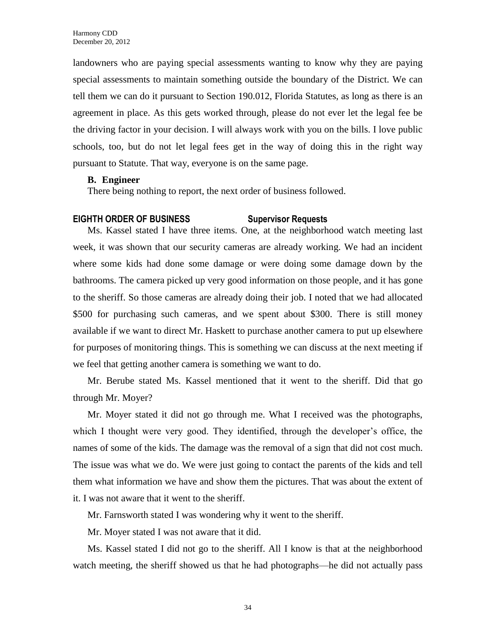landowners who are paying special assessments wanting to know why they are paying special assessments to maintain something outside the boundary of the District. We can tell them we can do it pursuant to Section 190.012, Florida Statutes, as long as there is an agreement in place. As this gets worked through, please do not ever let the legal fee be the driving factor in your decision. I will always work with you on the bills. I love public schools, too, but do not let legal fees get in the way of doing this in the right way pursuant to Statute. That way, everyone is on the same page.

## **B. Engineer**

There being nothing to report, the next order of business followed.

## **EIGHTH ORDER OF BUSINESS Supervisor Requests**

Ms. Kassel stated I have three items. One, at the neighborhood watch meeting last week, it was shown that our security cameras are already working. We had an incident where some kids had done some damage or were doing some damage down by the bathrooms. The camera picked up very good information on those people, and it has gone to the sheriff. So those cameras are already doing their job. I noted that we had allocated \$500 for purchasing such cameras, and we spent about \$300. There is still money available if we want to direct Mr. Haskett to purchase another camera to put up elsewhere for purposes of monitoring things. This is something we can discuss at the next meeting if we feel that getting another camera is something we want to do.

Mr. Berube stated Ms. Kassel mentioned that it went to the sheriff. Did that go through Mr. Moyer?

Mr. Moyer stated it did not go through me. What I received was the photographs, which I thought were very good. They identified, through the developer's office, the names of some of the kids. The damage was the removal of a sign that did not cost much. The issue was what we do. We were just going to contact the parents of the kids and tell them what information we have and show them the pictures. That was about the extent of it. I was not aware that it went to the sheriff.

Mr. Farnsworth stated I was wondering why it went to the sheriff.

Mr. Moyer stated I was not aware that it did.

Ms. Kassel stated I did not go to the sheriff. All I know is that at the neighborhood watch meeting, the sheriff showed us that he had photographs—he did not actually pass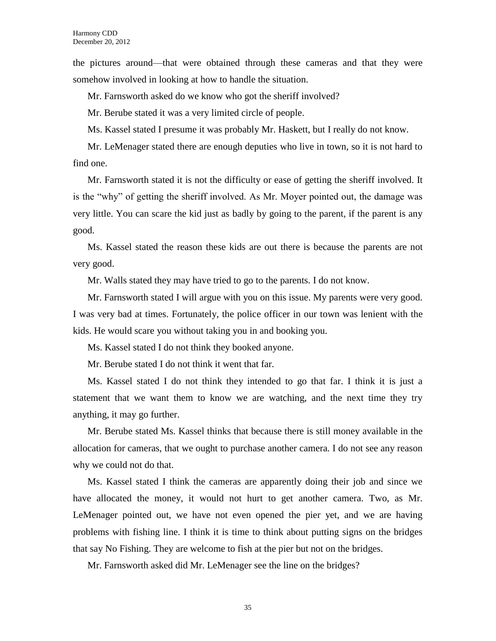the pictures around—that were obtained through these cameras and that they were somehow involved in looking at how to handle the situation.

Mr. Farnsworth asked do we know who got the sheriff involved?

Mr. Berube stated it was a very limited circle of people.

Ms. Kassel stated I presume it was probably Mr. Haskett, but I really do not know.

Mr. LeMenager stated there are enough deputies who live in town, so it is not hard to find one.

Mr. Farnsworth stated it is not the difficulty or ease of getting the sheriff involved. It is the "why" of getting the sheriff involved. As Mr. Moyer pointed out, the damage was very little. You can scare the kid just as badly by going to the parent, if the parent is any good.

Ms. Kassel stated the reason these kids are out there is because the parents are not very good.

Mr. Walls stated they may have tried to go to the parents. I do not know.

Mr. Farnsworth stated I will argue with you on this issue. My parents were very good. I was very bad at times. Fortunately, the police officer in our town was lenient with the kids. He would scare you without taking you in and booking you.

Ms. Kassel stated I do not think they booked anyone.

Mr. Berube stated I do not think it went that far.

Ms. Kassel stated I do not think they intended to go that far. I think it is just a statement that we want them to know we are watching, and the next time they try anything, it may go further.

Mr. Berube stated Ms. Kassel thinks that because there is still money available in the allocation for cameras, that we ought to purchase another camera. I do not see any reason why we could not do that.

Ms. Kassel stated I think the cameras are apparently doing their job and since we have allocated the money, it would not hurt to get another camera. Two, as Mr. LeMenager pointed out, we have not even opened the pier yet, and we are having problems with fishing line. I think it is time to think about putting signs on the bridges that say No Fishing. They are welcome to fish at the pier but not on the bridges.

Mr. Farnsworth asked did Mr. LeMenager see the line on the bridges?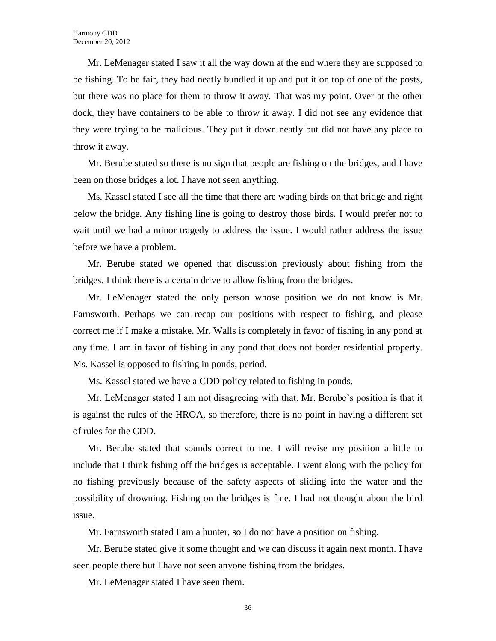Mr. LeMenager stated I saw it all the way down at the end where they are supposed to be fishing. To be fair, they had neatly bundled it up and put it on top of one of the posts, but there was no place for them to throw it away. That was my point. Over at the other dock, they have containers to be able to throw it away. I did not see any evidence that they were trying to be malicious. They put it down neatly but did not have any place to throw it away.

Mr. Berube stated so there is no sign that people are fishing on the bridges, and I have been on those bridges a lot. I have not seen anything.

Ms. Kassel stated I see all the time that there are wading birds on that bridge and right below the bridge. Any fishing line is going to destroy those birds. I would prefer not to wait until we had a minor tragedy to address the issue. I would rather address the issue before we have a problem.

Mr. Berube stated we opened that discussion previously about fishing from the bridges. I think there is a certain drive to allow fishing from the bridges.

Mr. LeMenager stated the only person whose position we do not know is Mr. Farnsworth. Perhaps we can recap our positions with respect to fishing, and please correct me if I make a mistake. Mr. Walls is completely in favor of fishing in any pond at any time. I am in favor of fishing in any pond that does not border residential property. Ms. Kassel is opposed to fishing in ponds, period.

Ms. Kassel stated we have a CDD policy related to fishing in ponds.

Mr. LeMenager stated I am not disagreeing with that. Mr. Berube's position is that it is against the rules of the HROA, so therefore, there is no point in having a different set of rules for the CDD.

Mr. Berube stated that sounds correct to me. I will revise my position a little to include that I think fishing off the bridges is acceptable. I went along with the policy for no fishing previously because of the safety aspects of sliding into the water and the possibility of drowning. Fishing on the bridges is fine. I had not thought about the bird issue.

Mr. Farnsworth stated I am a hunter, so I do not have a position on fishing.

Mr. Berube stated give it some thought and we can discuss it again next month. I have seen people there but I have not seen anyone fishing from the bridges.

Mr. LeMenager stated I have seen them.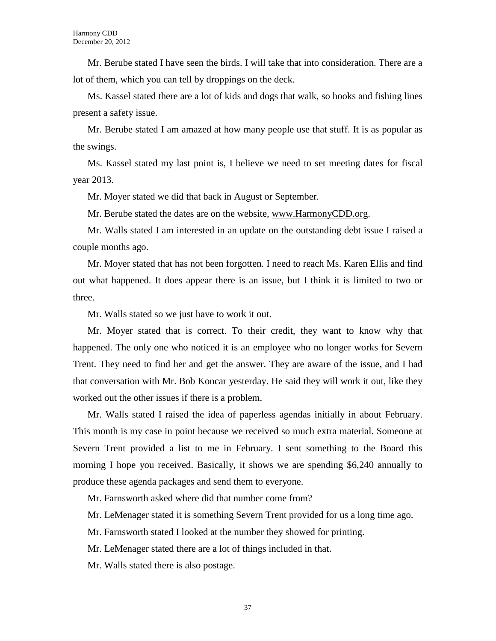Mr. Berube stated I have seen the birds. I will take that into consideration. There are a lot of them, which you can tell by droppings on the deck.

Ms. Kassel stated there are a lot of kids and dogs that walk, so hooks and fishing lines present a safety issue.

Mr. Berube stated I am amazed at how many people use that stuff. It is as popular as the swings.

Ms. Kassel stated my last point is, I believe we need to set meeting dates for fiscal year 2013.

Mr. Moyer stated we did that back in August or September.

Mr. Berube stated the dates are on the website, [www.HarmonyCDD.org.](http://www.harmonycdd.org/)

Mr. Walls stated I am interested in an update on the outstanding debt issue I raised a couple months ago.

Mr. Moyer stated that has not been forgotten. I need to reach Ms. Karen Ellis and find out what happened. It does appear there is an issue, but I think it is limited to two or three.

Mr. Walls stated so we just have to work it out.

Mr. Moyer stated that is correct. To their credit, they want to know why that happened. The only one who noticed it is an employee who no longer works for Severn Trent. They need to find her and get the answer. They are aware of the issue, and I had that conversation with Mr. Bob Koncar yesterday. He said they will work it out, like they worked out the other issues if there is a problem.

Mr. Walls stated I raised the idea of paperless agendas initially in about February. This month is my case in point because we received so much extra material. Someone at Severn Trent provided a list to me in February. I sent something to the Board this morning I hope you received. Basically, it shows we are spending \$6,240 annually to produce these agenda packages and send them to everyone.

Mr. Farnsworth asked where did that number come from?

Mr. LeMenager stated it is something Severn Trent provided for us a long time ago.

Mr. Farnsworth stated I looked at the number they showed for printing.

Mr. LeMenager stated there are a lot of things included in that.

Mr. Walls stated there is also postage.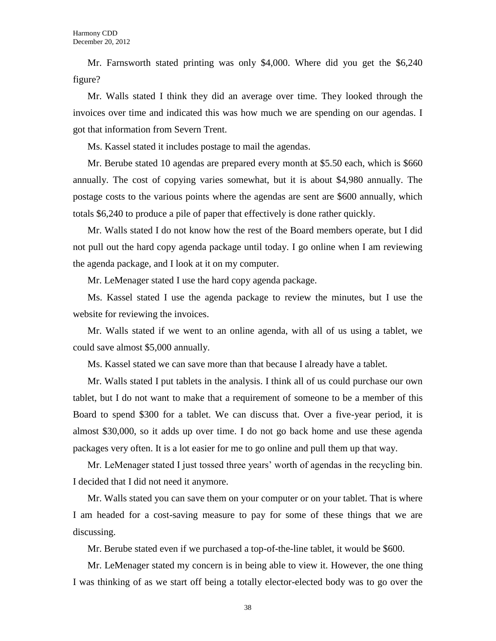Mr. Farnsworth stated printing was only \$4,000. Where did you get the \$6,240 figure?

Mr. Walls stated I think they did an average over time. They looked through the invoices over time and indicated this was how much we are spending on our agendas. I got that information from Severn Trent.

Ms. Kassel stated it includes postage to mail the agendas.

Mr. Berube stated 10 agendas are prepared every month at \$5.50 each, which is \$660 annually. The cost of copying varies somewhat, but it is about \$4,980 annually. The postage costs to the various points where the agendas are sent are \$600 annually, which totals \$6,240 to produce a pile of paper that effectively is done rather quickly.

Mr. Walls stated I do not know how the rest of the Board members operate, but I did not pull out the hard copy agenda package until today. I go online when I am reviewing the agenda package, and I look at it on my computer.

Mr. LeMenager stated I use the hard copy agenda package.

Ms. Kassel stated I use the agenda package to review the minutes, but I use the website for reviewing the invoices.

Mr. Walls stated if we went to an online agenda, with all of us using a tablet, we could save almost \$5,000 annually.

Ms. Kassel stated we can save more than that because I already have a tablet.

Mr. Walls stated I put tablets in the analysis. I think all of us could purchase our own tablet, but I do not want to make that a requirement of someone to be a member of this Board to spend \$300 for a tablet. We can discuss that. Over a five-year period, it is almost \$30,000, so it adds up over time. I do not go back home and use these agenda packages very often. It is a lot easier for me to go online and pull them up that way.

Mr. LeMenager stated I just tossed three years' worth of agendas in the recycling bin. I decided that I did not need it anymore.

Mr. Walls stated you can save them on your computer or on your tablet. That is where I am headed for a cost-saving measure to pay for some of these things that we are discussing.

Mr. Berube stated even if we purchased a top-of-the-line tablet, it would be \$600.

Mr. LeMenager stated my concern is in being able to view it. However, the one thing I was thinking of as we start off being a totally elector-elected body was to go over the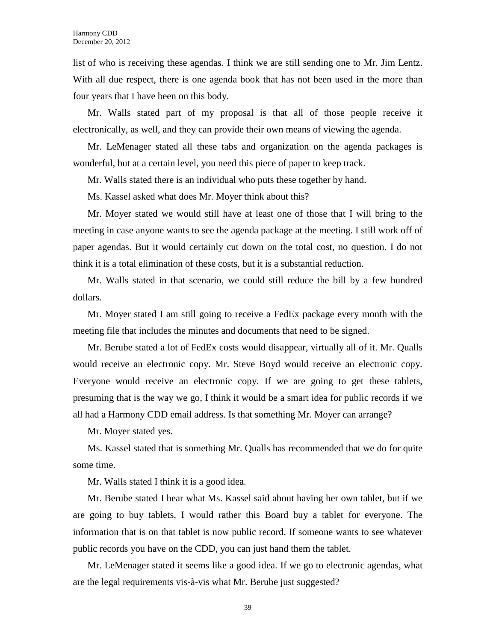list of who is receiving these agendas. I think we are still sending one to Mr. Jim Lentz. With all due respect, there is one agenda book that has not been used in the more than four years that I have been on this body.

Mr. Walls stated part of my proposal is that all of those people receive it electronically, as well, and they can provide their own means of viewing the agenda.

Mr. LeMenager stated all these tabs and organization on the agenda packages is wonderful, but at a certain level, you need this piece of paper to keep track.

Mr. Walls stated there is an individual who puts these together by hand.

Ms. Kassel asked what does Mr. Moyer think about this?

Mr. Moyer stated we would still have at least one of those that I will bring to the meeting in case anyone wants to see the agenda package at the meeting. I still work off of paper agendas. But it would certainly cut down on the total cost, no question. I do not think it is a total elimination of these costs, but it is a substantial reduction.

Mr. Walls stated in that scenario, we could still reduce the bill by a few hundred dollars.

Mr. Moyer stated I am still going to receive a FedEx package every month with the meeting file that includes the minutes and documents that need to be signed.

Mr. Berube stated a lot of FedEx costs would disappear, virtually all of it. Mr. Qualls would receive an electronic copy. Mr. Steve Boyd would receive an electronic copy. Everyone would receive an electronic copy. If we are going to get these tablets, presuming that is the way we go, I think it would be a smart idea for public records if we all had a Harmony CDD email address. Is that something Mr. Moyer can arrange?

Mr. Moyer stated yes.

Ms. Kassel stated that is something Mr. Qualls has recommended that we do for quite some time.

Mr. Walls stated I think it is a good idea.

Mr. Berube stated I hear what Ms. Kassel said about having her own tablet, but if we are going to buy tablets, I would rather this Board buy a tablet for everyone. The information that is on that tablet is now public record. If someone wants to see whatever public records you have on the CDD, you can just hand them the tablet.

Mr. LeMenager stated it seems like a good idea. If we go to electronic agendas, what are the legal requirements vis-à-vis what Mr. Berube just suggested?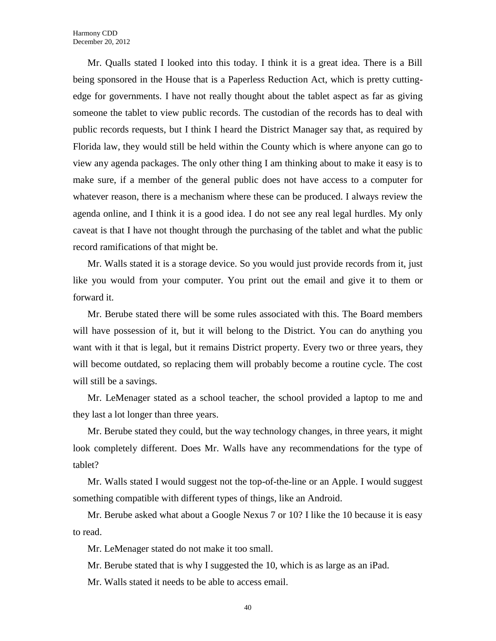Mr. Qualls stated I looked into this today. I think it is a great idea. There is a Bill being sponsored in the House that is a Paperless Reduction Act, which is pretty cuttingedge for governments. I have not really thought about the tablet aspect as far as giving someone the tablet to view public records. The custodian of the records has to deal with public records requests, but I think I heard the District Manager say that, as required by Florida law, they would still be held within the County which is where anyone can go to view any agenda packages. The only other thing I am thinking about to make it easy is to make sure, if a member of the general public does not have access to a computer for whatever reason, there is a mechanism where these can be produced. I always review the agenda online, and I think it is a good idea. I do not see any real legal hurdles. My only caveat is that I have not thought through the purchasing of the tablet and what the public record ramifications of that might be.

Mr. Walls stated it is a storage device. So you would just provide records from it, just like you would from your computer. You print out the email and give it to them or forward it.

Mr. Berube stated there will be some rules associated with this. The Board members will have possession of it, but it will belong to the District. You can do anything you want with it that is legal, but it remains District property. Every two or three years, they will become outdated, so replacing them will probably become a routine cycle. The cost will still be a savings.

Mr. LeMenager stated as a school teacher, the school provided a laptop to me and they last a lot longer than three years.

Mr. Berube stated they could, but the way technology changes, in three years, it might look completely different. Does Mr. Walls have any recommendations for the type of tablet?

Mr. Walls stated I would suggest not the top-of-the-line or an Apple. I would suggest something compatible with different types of things, like an Android.

Mr. Berube asked what about a Google Nexus 7 or 10? I like the 10 because it is easy to read.

Mr. LeMenager stated do not make it too small.

Mr. Berube stated that is why I suggested the 10, which is as large as an iPad.

Mr. Walls stated it needs to be able to access email.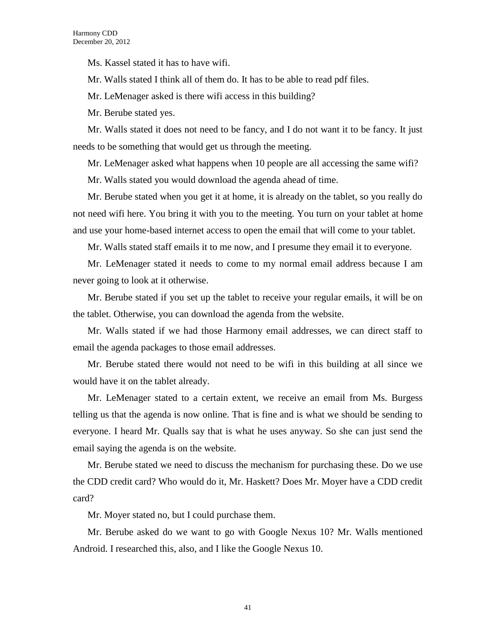Ms. Kassel stated it has to have wifi.

Mr. Walls stated I think all of them do. It has to be able to read pdf files.

Mr. LeMenager asked is there wifi access in this building?

Mr. Berube stated yes.

Mr. Walls stated it does not need to be fancy, and I do not want it to be fancy. It just needs to be something that would get us through the meeting.

Mr. LeMenager asked what happens when 10 people are all accessing the same wifi?

Mr. Walls stated you would download the agenda ahead of time.

Mr. Berube stated when you get it at home, it is already on the tablet, so you really do not need wifi here. You bring it with you to the meeting. You turn on your tablet at home and use your home-based internet access to open the email that will come to your tablet.

Mr. Walls stated staff emails it to me now, and I presume they email it to everyone.

Mr. LeMenager stated it needs to come to my normal email address because I am never going to look at it otherwise.

Mr. Berube stated if you set up the tablet to receive your regular emails, it will be on the tablet. Otherwise, you can download the agenda from the website.

Mr. Walls stated if we had those Harmony email addresses, we can direct staff to email the agenda packages to those email addresses.

Mr. Berube stated there would not need to be wifi in this building at all since we would have it on the tablet already.

Mr. LeMenager stated to a certain extent, we receive an email from Ms. Burgess telling us that the agenda is now online. That is fine and is what we should be sending to everyone. I heard Mr. Qualls say that is what he uses anyway. So she can just send the email saying the agenda is on the website.

Mr. Berube stated we need to discuss the mechanism for purchasing these. Do we use the CDD credit card? Who would do it, Mr. Haskett? Does Mr. Moyer have a CDD credit card?

Mr. Moyer stated no, but I could purchase them.

Mr. Berube asked do we want to go with Google Nexus 10? Mr. Walls mentioned Android. I researched this, also, and I like the Google Nexus 10.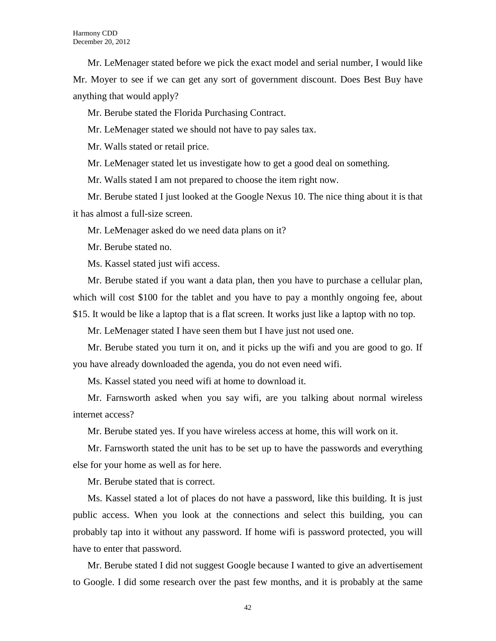Mr. LeMenager stated before we pick the exact model and serial number, I would like Mr. Moyer to see if we can get any sort of government discount. Does Best Buy have anything that would apply?

Mr. Berube stated the Florida Purchasing Contract.

Mr. LeMenager stated we should not have to pay sales tax.

Mr. Walls stated or retail price.

Mr. LeMenager stated let us investigate how to get a good deal on something.

Mr. Walls stated I am not prepared to choose the item right now.

Mr. Berube stated I just looked at the Google Nexus 10. The nice thing about it is that it has almost a full-size screen.

Mr. LeMenager asked do we need data plans on it?

Mr. Berube stated no.

Ms. Kassel stated just wifi access.

Mr. Berube stated if you want a data plan, then you have to purchase a cellular plan, which will cost \$100 for the tablet and you have to pay a monthly ongoing fee, about \$15. It would be like a laptop that is a flat screen. It works just like a laptop with no top.

Mr. LeMenager stated I have seen them but I have just not used one.

Mr. Berube stated you turn it on, and it picks up the wifi and you are good to go. If you have already downloaded the agenda, you do not even need wifi.

Ms. Kassel stated you need wifi at home to download it.

Mr. Farnsworth asked when you say wifi, are you talking about normal wireless internet access?

Mr. Berube stated yes. If you have wireless access at home, this will work on it.

Mr. Farnsworth stated the unit has to be set up to have the passwords and everything else for your home as well as for here.

Mr. Berube stated that is correct.

Ms. Kassel stated a lot of places do not have a password, like this building. It is just public access. When you look at the connections and select this building, you can probably tap into it without any password. If home wifi is password protected, you will have to enter that password.

Mr. Berube stated I did not suggest Google because I wanted to give an advertisement to Google. I did some research over the past few months, and it is probably at the same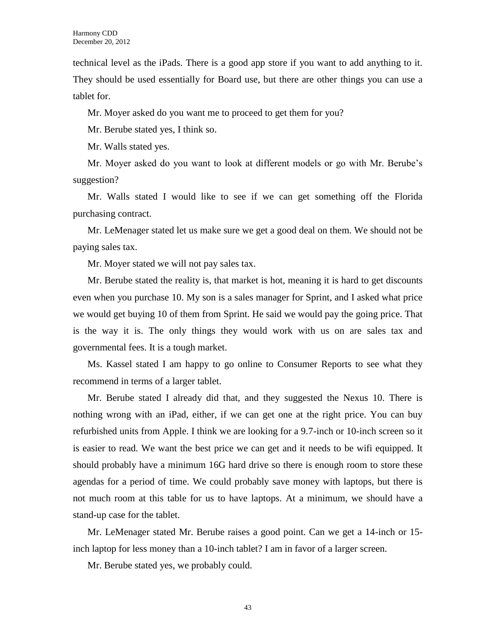technical level as the iPads. There is a good app store if you want to add anything to it. They should be used essentially for Board use, but there are other things you can use a tablet for.

Mr. Moyer asked do you want me to proceed to get them for you?

Mr. Berube stated yes, I think so.

Mr. Walls stated yes.

Mr. Moyer asked do you want to look at different models or go with Mr. Berube's suggestion?

Mr. Walls stated I would like to see if we can get something off the Florida purchasing contract.

Mr. LeMenager stated let us make sure we get a good deal on them. We should not be paying sales tax.

Mr. Moyer stated we will not pay sales tax.

Mr. Berube stated the reality is, that market is hot, meaning it is hard to get discounts even when you purchase 10. My son is a sales manager for Sprint, and I asked what price we would get buying 10 of them from Sprint. He said we would pay the going price. That is the way it is. The only things they would work with us on are sales tax and governmental fees. It is a tough market.

Ms. Kassel stated I am happy to go online to Consumer Reports to see what they recommend in terms of a larger tablet.

Mr. Berube stated I already did that, and they suggested the Nexus 10. There is nothing wrong with an iPad, either, if we can get one at the right price. You can buy refurbished units from Apple. I think we are looking for a 9.7-inch or 10-inch screen so it is easier to read. We want the best price we can get and it needs to be wifi equipped. It should probably have a minimum 16G hard drive so there is enough room to store these agendas for a period of time. We could probably save money with laptops, but there is not much room at this table for us to have laptops. At a minimum, we should have a stand-up case for the tablet.

Mr. LeMenager stated Mr. Berube raises a good point. Can we get a 14-inch or 15 inch laptop for less money than a 10-inch tablet? I am in favor of a larger screen.

Mr. Berube stated yes, we probably could.